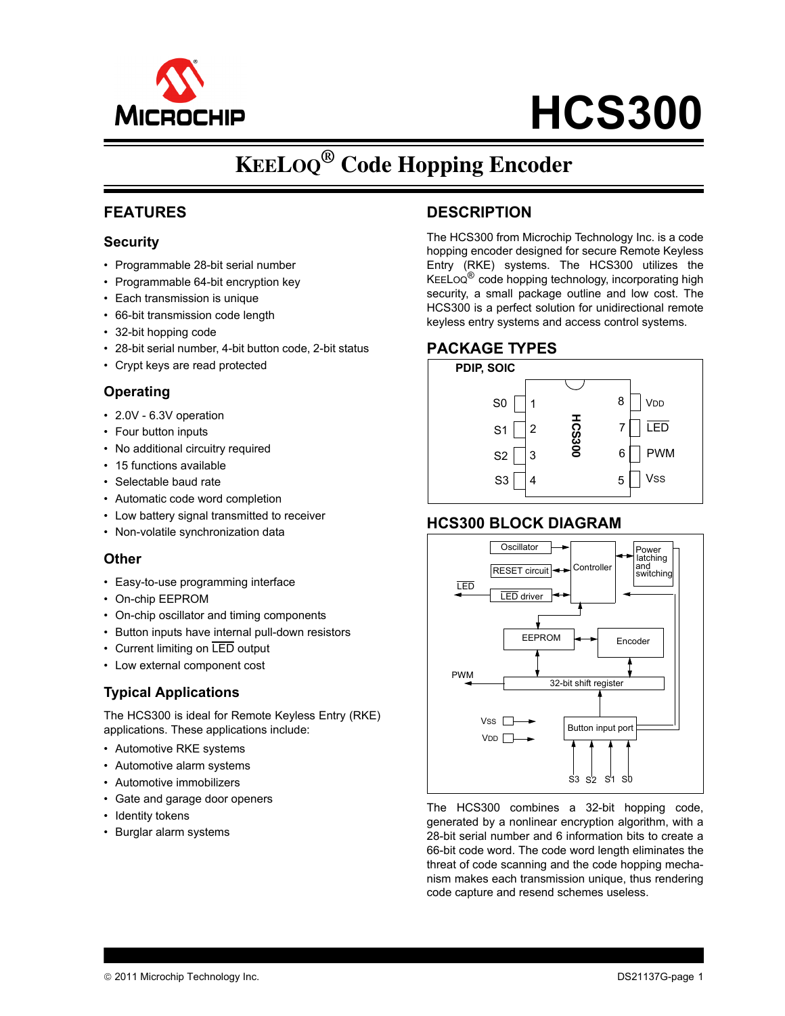

# **HCS300**

## **KEELOQ® Code Hopping Encoder**

#### **FEATURES**

#### **Security**

- Programmable 28-bit serial number
- Programmable 64-bit encryption key
- Each transmission is unique
- 66-bit transmission code length
- 32-bit hopping code
- 28-bit serial number, 4-bit button code, 2-bit status
- Crypt keys are read protected

#### **Operating**

- 2.0V 6.3V operation
- Four button inputs
- No additional circuitry required
- 15 functions available
- Selectable baud rate
- Automatic code word completion
- Low battery signal transmitted to receiver
- Non-volatile synchronization data

#### **Other**

- Easy-to-use programming interface
- On-chip EEPROM
- On-chip oscillator and timing components
- Button inputs have internal pull-down resistors
- Current limiting on LED output
- Low external component cost

#### **Typical Applications**

The HCS300 is ideal for Remote Keyless Entry (RKE) applications. These applications include:

- Automotive RKE systems
- Automotive alarm systems
- Automotive immobilizers
- Gate and garage door openers
- Identity tokens
- Burglar alarm systems

#### **DESCRIPTION**

The HCS300 from Microchip Technology Inc. is a code hopping encoder designed for secure Remote Keyless Entry (RKE) systems. The HCS300 utilizes the KEELOQ<sup>®</sup> code hopping technology, incorporating high security, a small package outline and low cost. The HCS300 is a perfect solution for unidirectional remote keyless entry systems and access control systems.

#### **PACKAGE TYPES**



#### **HCS300 BLOCK DIAGRAM**



The HCS300 combines a 32-bit hopping code, generated by a nonlinear encryption algorithm, with a 28-bit serial number and 6 information bits to create a 66-bit code word. The code word length eliminates the threat of code scanning and the code hopping mechanism makes each transmission unique, thus rendering code capture and resend schemes useless.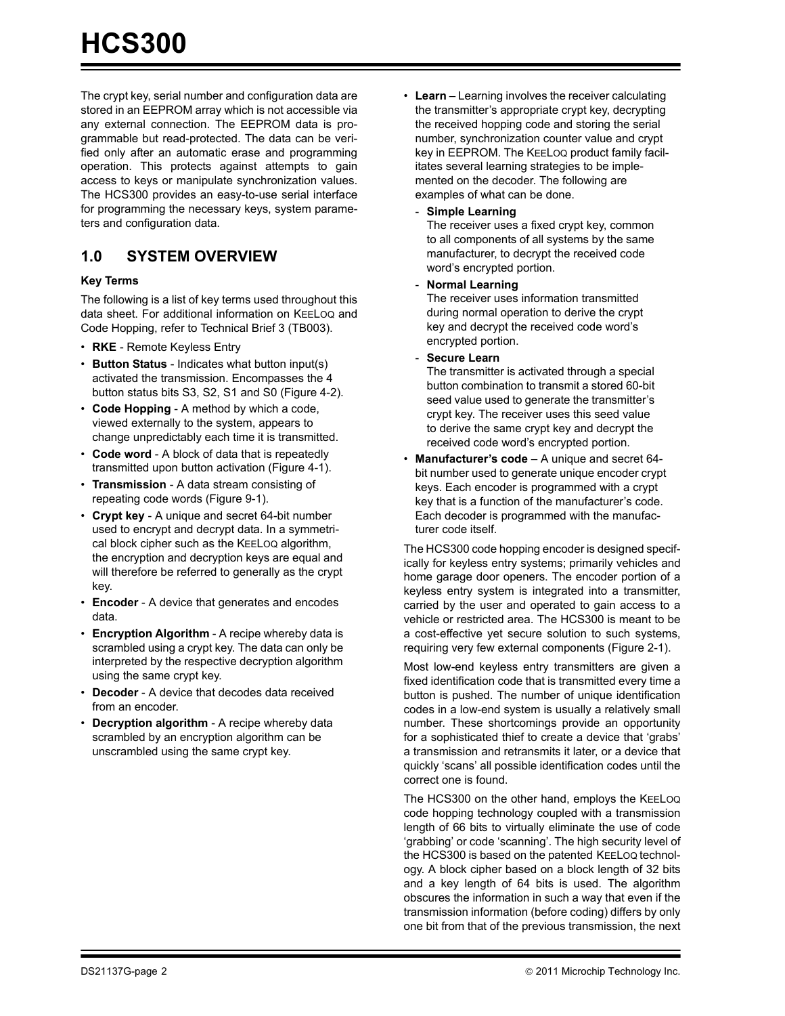The crypt key, serial number and configuration data are stored in an EEPROM array which is not accessible via any external connection. The EEPROM data is programmable but read-protected. The data can be verified only after an automatic erase and programming operation. This protects against attempts to gain access to keys or manipulate synchronization values. The HCS300 provides an easy-to-use serial interface for programming the necessary keys, system parameters and configuration data.

### **1.0 SYSTEM OVERVIEW**

#### **Key Terms**

The following is a list of key terms used throughout this [data sheet](https://www.application-datasheet.com/). For additional information on KEELOQ and Code Hopping, refer to Technical Brief 3 (TB003).

- **RKE** Remote Keyless Entry
- **Button Status** Indicates what button input(s) activated the transmission. Encompasses the 4 button status bits S3, S2, S1 and S0 ([Figure 4-2\)](#page-7-0).
- **Code Hopping** A method by which a code, viewed externally to the system, appears to change unpredictably each time it is transmitted.
- **Code word** A block of data that is repeatedly transmitted upon button activation [\(Figure 4-1](#page-7-0)).
- **Transmission** A data stream consisting of repeating code words [\(Figure 9-1](#page-21-0)).
- **Crypt key** A unique and secret 64-bit number used to encrypt and decrypt data. In a symmetrical block cipher such as the KEELOQ algorithm, the encryption and decryption keys are equal and will therefore be referred to generally as the crypt key.
- **Encoder** A device that generates and encodes data.
- **Encryption Algorithm** A recipe whereby data is scrambled using a crypt key. The data can only be interpreted by the respective decryption algorithm using the same crypt key.
- **Decoder** A device that decodes data received from an encoder.
- **Decryption algorithm** A recipe whereby data scrambled by an encryption algorithm can be unscrambled using the same crypt key.
- **Learn** Learning involves the receiver calculating the transmitter's appropriate crypt key, decrypting the received hopping code and storing the serial number, synchronization counter value and crypt key in EEPROM. The KEELOQ product family facilitates several learning strategies to be implemented on the decoder. The following are examples of what can be done.
	- **Simple Learning**

The receiver uses a fixed crypt key, common to all components of all systems by the same manufacturer, to decrypt the received code word's encrypted portion.

- **Normal Learning**

The receiver uses information transmitted during normal operation to derive the crypt key and decrypt the received code word's encrypted portion.

- **Secure Learn**

The transmitter is activated through a special button combination to transmit a stored 60-bit seed value used to generate the transmitter's crypt key. The receiver uses this seed value to derive the same crypt key and decrypt the received code word's encrypted portion.

• **Manufacturer's code** – A unique and secret 64 bit number used to generate unique encoder crypt keys. Each encoder is programmed with a crypt key that is a function of the manufacturer's code. Each decoder is programmed with the manufacturer code itself.

The HCS300 code hopping encoder is designed specifically for keyless entry systems; primarily vehicles and home garage door openers. The encoder portion of a keyless entry system is integrated into a transmitter, carried by the user and operated to gain access to a vehicle or restricted area. The HCS300 is meant to be a cost-effective yet secure solution to such systems, requiring very few external components [\(Figure 2-1](#page-4-0)).

Most low-end keyless entry transmitters are given a fixed identification code that is transmitted every time a button is pushed. The number of unique identification codes in a low-end system is usually a relatively small number. These shortcomings provide an opportunity for a sophisticated thief to create a device that 'grabs' a transmission and retransmits it later, or a device that quickly 'scans' all possible identification codes until the correct one is found.

The HCS300 on the other hand, employs the KEELOQ code hopping technology coupled with a transmission length of 66 bits to virtually eliminate the use of code 'grabbing' or code 'scanning'. The high security level of the HCS300 is based on the patented KEELOQ technology. A block cipher based on a block length of 32 bits and a key length of 64 bits is used. The algorithm obscures the information in such a way that even if the transmission information (before coding) differs by only one bit from that of the previous transmission, the next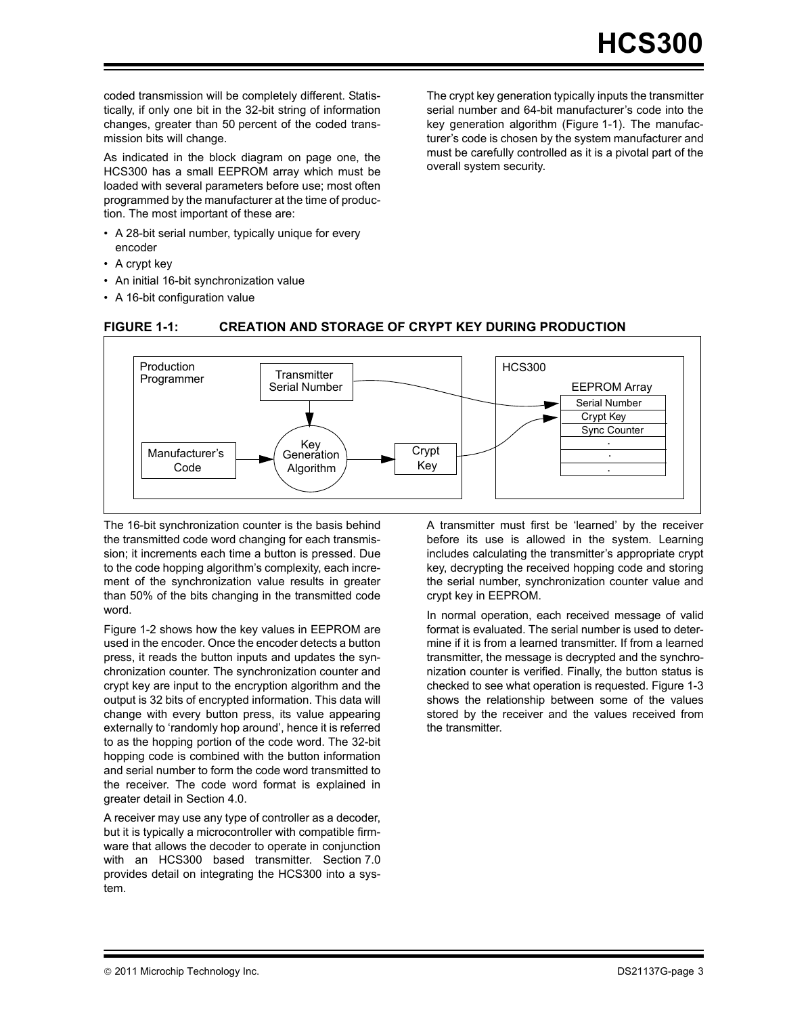coded transmission will be completely different. Statistically, if only one bit in the 32-bit string of information changes, greater than 50 percent of the coded transmission bits will change.

As indicated in the block diagram on page one, the HCS300 has a small EEPROM array which must be loaded with several parameters before use; most often programmed by the manufacturer at the time of production. The most important of these are:

- A 28-bit serial number, typically unique for every encoder
- A crypt key
- An initial 16-bit synchronization value
- A 16-bit configuration value

The crypt key generation typically inputs the transmitter serial number and 64-bit manufacturer's code into the key generation algorithm (Figure 1-1). The manufacturer's code is chosen by the system manufacturer and must be carefully controlled as it is a pivotal part of the overall system security.



**FIGURE 1-1: CREATION AND STORAGE OF CRYPT KEY DURING PRODUCTION**

The 16-bit synchronization counter is the basis behind the transmitted code word changing for each transmission; it increments each time a button is pressed. Due to the code hopping algorithm's complexity, each increment of the synchronization value results in greater than 50% of the bits changing in the transmitted code word.

[Figure 1-2](#page-3-0) shows how the key values in EEPROM are used in the encoder. Once the encoder detects a button press, it reads the button inputs and updates the synchronization counter. The synchronization counter and crypt key are input to the encryption algorithm and the output is 32 bits of encrypted information. This data will change with every button press, its value appearing externally to 'randomly hop around', hence it is referred to as the hopping portion of the code word. The 32-bit hopping code is combined with the button information and serial number to form the code word transmitted to the receiver. The code word format is explained in greater detail in [Section 4.0](#page-7-0).

A receiver may use any type of controller as a decoder, but it is typically a microcontroller with compatible firmware that allows the decoder to operate in conjunction with an HCS300 based transmitter. [Section 7.0](#page-13-0) provides detail on integrating the HCS300 into a system.

A transmitter must first be 'learned' by the receiver before its use is allowed in the system. Learning includes calculating the transmitter's appropriate crypt key, decrypting the received hopping code and storing the serial number, synchronization counter value and crypt key in EEPROM.

In normal operation, each received message of valid format is evaluated. The serial number is used to determine if it is from a learned transmitter. If from a learned transmitter, the message is decrypted and the synchronization counter is verified. Finally, the button status is checked to see what operation is requested. [Figure 1-3](#page-3-0) shows the relationship between some of the values stored by the receiver and the values received from the transmitter.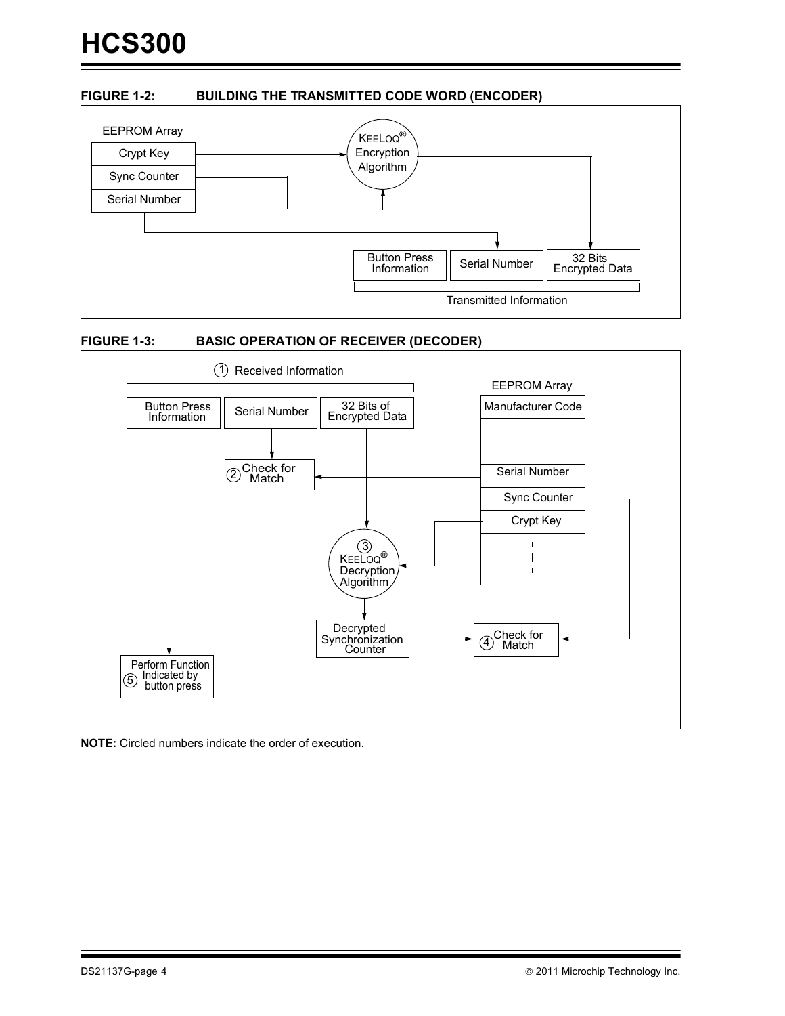#### <span id="page-3-0"></span>**FIGURE 1-2: BUILDING THE TRANSMITTED CODE WORD (ENCODER)**







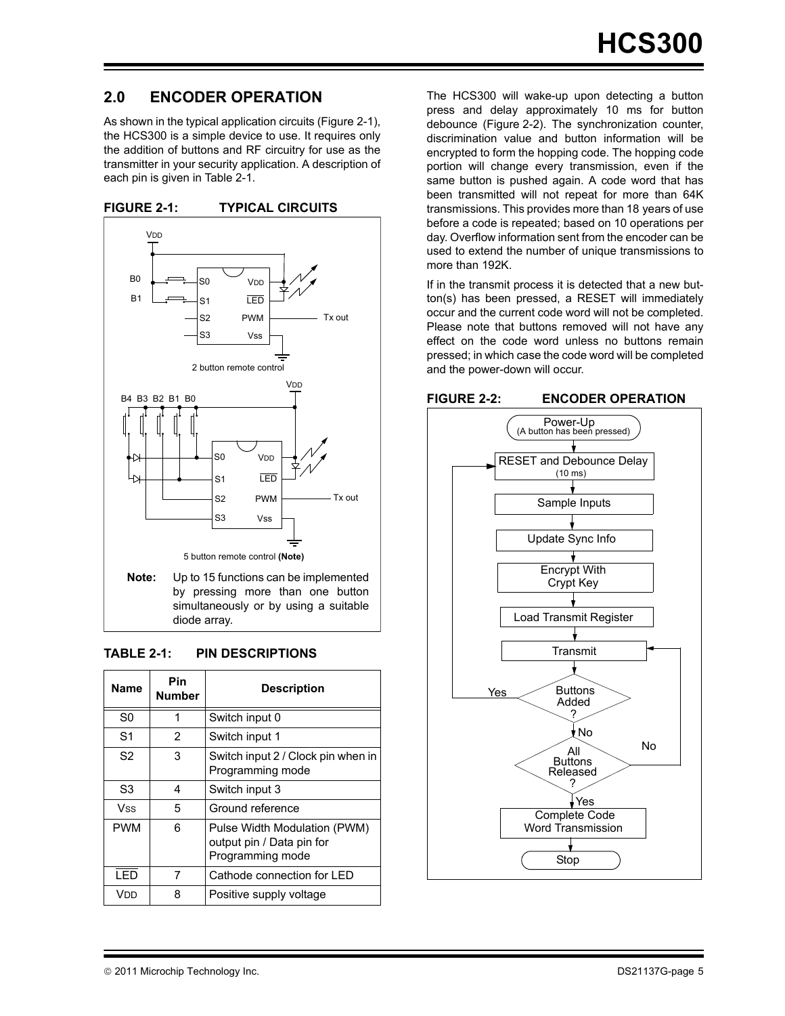#### <span id="page-4-0"></span>**2.0 ENCODER OPERATION**

As shown in the typical application circuits (Figure 2-1), the HCS300 is a simple device to use. It requires only the addition of buttons and RF circuitry for use as the transmitter in your security application. A description of each pin is given in Table 2-1.





#### **TABLE 2-1: PIN DESCRIPTIONS**

| Name           | Pin<br><b>Number</b> | <b>Description</b>                                                            |
|----------------|----------------------|-------------------------------------------------------------------------------|
| S <sub>0</sub> |                      | Switch input 0                                                                |
| S <sub>1</sub> | 2                    | Switch input 1                                                                |
| S <sub>2</sub> | 3                    | Switch input 2 / Clock pin when in<br>Programming mode                        |
| S3             | 4                    | Switch input 3                                                                |
| Vss            | 5                    | Ground reference                                                              |
| <b>PWM</b>     | 6                    | Pulse Width Modulation (PWM)<br>output pin / Data pin for<br>Programming mode |
| <b>LED</b>     | 7                    | Cathode connection for LED                                                    |
| Vdd            | 8                    | Positive supply voltage                                                       |

The HCS300 will wake-up upon detecting a button press and delay approximately 10 ms for button debounce (Figure 2-2). The synchronization counter, discrimination value and button information will be encrypted to form the hopping code. The hopping code portion will change every transmission, even if the same button is pushed again. A code word that has been transmitted will not repeat for more than 64K transmissions. This provides more than 18 years of use before a code is repeated; based on 10 operations per day. Overflow information sent from the encoder can be used to extend the number of unique transmissions to more than 192K.

If in the transmit process it is detected that a new button(s) has been pressed, a RESET will immediately occur and the current code word will not be completed. Please note that buttons removed will not have any effect on the code word unless no buttons remain pressed; in which case the code word will be completed and the power-down will occur.

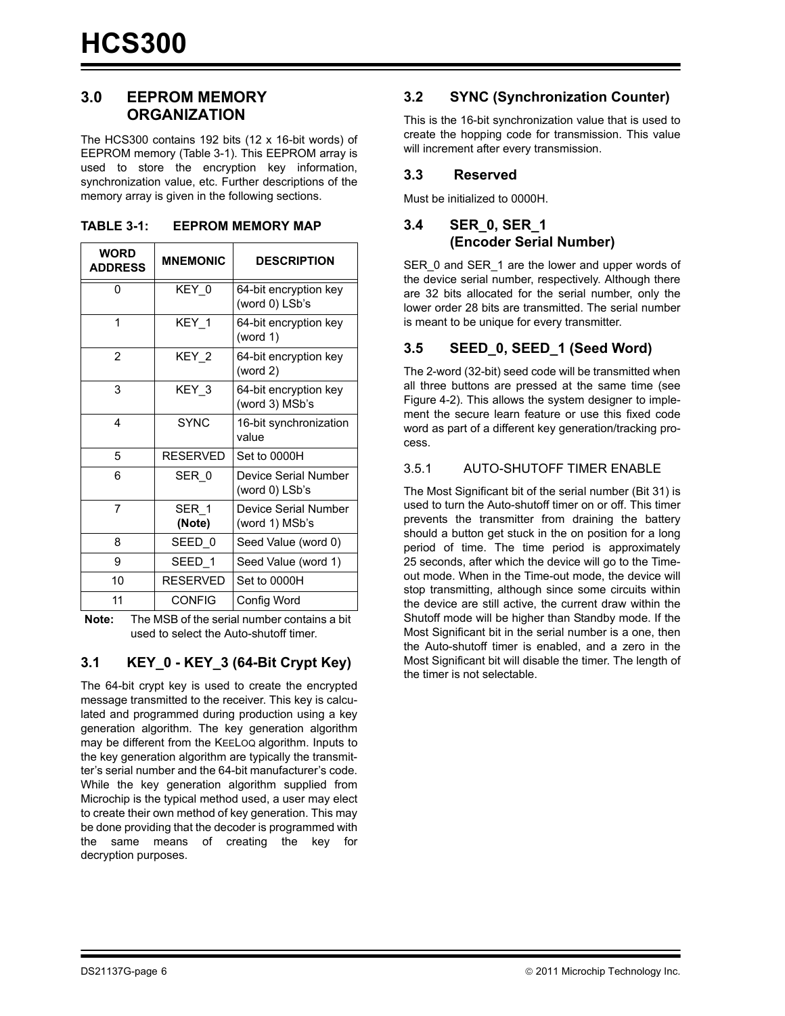#### <span id="page-5-0"></span>**3.0 EEPROM MEMORY ORGANIZATION**

The HCS300 contains 192 bits (12 x 16-bit words) of EEPROM memory (Table 3-1). This EEPROM array is used to store the encryption key information, synchronization value, etc. Further descriptions of the memory array is given in the following sections.

| WORD<br><b>ADDRESS</b> | <b>MNEMONIC</b> | <b>DESCRIPTION</b>                      |
|------------------------|-----------------|-----------------------------------------|
| U                      | KEY 0           | 64-bit encryption key<br>(word 0) LSb's |
| 1                      | KEY 1           | 64-bit encryption key<br>(word $1$ )    |
| $\overline{2}$         | KEY 2           | 64-bit encryption key<br>(word $2$ )    |
| 3                      | KEY 3           | 64-bit encryption key<br>(word 3) MSb's |
| 4                      | <b>SYNC</b>     | 16-bit synchronization<br>value         |
| 5                      | <b>RESERVED</b> | Set to 0000H                            |
| 6                      | SER 0           | Device Serial Number<br>(word 0) LSb's  |
| 7                      | SER 1<br>(Note) | Device Serial Number<br>(word 1) MSb's  |
| 8                      | SEED 0          | Seed Value (word 0)                     |
| 9                      | SEED 1          | Seed Value (word 1)                     |
| 10                     | <b>RESERVED</b> | Set to 0000H                            |
| 11                     | <b>CONFIG</b>   | Config Word                             |

**TABLE 3-1: EEPROM MEMORY MAP** 

**Note:** The MSB of the serial number contains a bit used to select the Auto-shutoff timer.

#### **3.1 KEY\_0 - KEY\_3 (64-Bit Crypt Key)**

The 64-bit crypt key is used to create the encrypted message transmitted to the receiver. This key is calculated and programmed during production using a key generation algorithm. The key generation algorithm may be different from the KEELOQ algorithm. Inputs to the key generation algorithm are typically the transmitter's serial number and the 64-bit manufacturer's code. While the key generation algorithm supplied from Microchip is the typical method used, a user may elect to create their own method of key generation. This may be done providing that the decoder is programmed with the same means of creating the key for decryption purposes.

#### **3.2 SYNC (Synchronization Counter)**

This is the 16-bit synchronization value that is used to create the hopping code for transmission. This value will increment after every transmission.

#### **3.3 Reserved**

Must be initialized to 0000H.

#### **3.4 SER\_0, SER\_1 (Encoder Serial Number)**

SER\_0 and SER\_1 are the lower and upper words of the device serial number, respectively. Although there are 32 bits allocated for the serial number, only the lower order 28 bits are transmitted. The serial number is meant to be unique for every transmitter.

#### **3.5 SEED\_0, SEED\_1 (Seed Word)**

The 2-word (32-bit) seed code will be transmitted when all three buttons are pressed at the same time (see [Figure 4-2\)](#page-7-0). This allows the system designer to implement the secure learn feature or use this fixed code word as part of a different key generation/tracking process.

#### 3.5.1 AUTO-SHUTOFF TIMER ENABLE

The Most Significant bit of the serial number (Bit 31) is used to turn the Auto-shutoff timer on or off. This timer prevents the transmitter from draining the battery should a button get stuck in the on position for a long period of time. The time period is approximately 25 seconds, after which the device will go to the Timeout mode. When in the Time-out mode, the device will stop transmitting, although since some circuits within the device are still active, the current draw within the Shutoff mode will be higher than Standby mode. If the Most Significant bit in the serial number is a one, then the Auto-shutoff timer is enabled, and a zero in the Most Significant bit will disable the timer. The length of the timer is not selectable.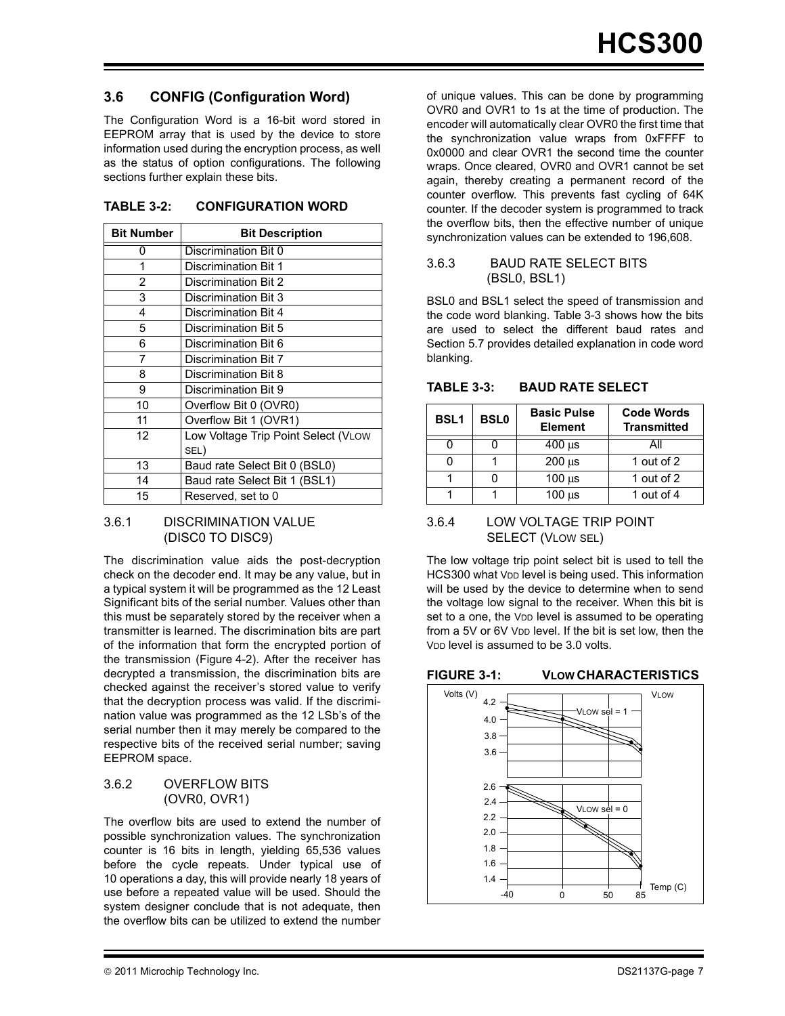#### <span id="page-6-0"></span>**3.6 CONFIG (Configuration Word)**

The Configuration Word is a 16-bit word stored in EEPROM array that is used by the device to store information used during the encryption process, as well as the status of option configurations. The following sections further explain these bits.

| <b>Bit Number</b> | <b>Bit Description</b>              |
|-------------------|-------------------------------------|
| O                 | Discrimination Bit 0                |
| 1                 | Discrimination Bit 1                |
| $\overline{2}$    | Discrimination Bit 2                |
| 3                 | Discrimination Bit 3                |
| 4                 | <b>Discrimination Bit 4</b>         |
| 5                 | Discrimination Bit 5                |
| 6                 | Discrimination Bit 6                |
| 7                 | <b>Discrimination Bit 7</b>         |
| 8                 | Discrimination Bit 8                |
| 9                 | Discrimination Bit 9                |
| 10                | Overflow Bit 0 (OVR0)               |
| 11                | Overflow Bit 1 (OVR1)               |
| 12                | Low Voltage Trip Point Select (VLOW |
|                   | SEL)                                |
| 13                | Baud rate Select Bit 0 (BSL0)       |
| 14                | Baud rate Select Bit 1 (BSL1)       |
| 15                | Reserved, set to 0                  |

#### **TABLE 3-2: CONFIGURATION WORD**

#### 3.6.1 DISCRIMINATION VALUE (DISC0 TO DISC9)

The discrimination value aids the post-decryption check on the decoder end. It may be any value, but in a typical system it will be programmed as the 12 Least Significant bits of the serial number. Values other than this must be separately stored by the receiver when a transmitter is learned. The discrimination bits are part of the information that form the encrypted portion of the transmission ([Figure 4-2\)](#page-7-0). After the receiver has decrypted a transmission, the discrimination bits are checked against the receiver's stored value to verify that the decryption process was valid. If the discrimination value was programmed as the 12 LSb's of the serial number then it may merely be compared to the respective bits of the received serial number; saving EEPROM space.

#### 3.6.2 OVERFLOW BITS (OVR0, OVR1)

The overflow bits are used to extend the number of possible synchronization values. The synchronization counter is 16 bits in length, yielding 65,536 values before the cycle repeats. Under typical use of 10 operations a day, this will provide nearly 18 years of use before a repeated value will be used. Should the system designer conclude that is not adequate, then the overflow bits can be utilized to extend the number

of unique values. This can be done by programming OVR0 and OVR1 to 1s at the time of production. The encoder will automatically clear OVR0 the first time that the synchronization value wraps from 0xFFFF to 0x0000 and clear OVR1 the second time the counter wraps. Once cleared, OVR0 and OVR1 cannot be set again, thereby creating a permanent record of the counter overflow. This prevents fast cycling of 64K counter. If the decoder system is programmed to track the overflow bits, then the effective number of unique synchronization values can be extended to 196,608.

#### 3.6.3 BAUD RATE SELECT BITS (BSL0, BSL1)

BSL0 and BSL1 select the speed of transmission and the code word blanking. Table 3-3 shows how the bits are used to select the different baud rates and [Section 5.7](#page-10-0) provides detailed explanation in code word blanking.

| <b>BSL1</b> | <b>BSL0</b> | <b>Basic Pulse</b><br><b>Element</b> | <b>Code Words</b><br><b>Transmitted</b> |
|-------------|-------------|--------------------------------------|-----------------------------------------|
|             |             | $400 \mu s$                          |                                         |
|             |             | $200 \mu s$                          | 1 out of 2                              |
|             |             | $100 \mu s$                          | 1 out of 2                              |
|             |             | $100 \mu s$                          | 1 out of 4                              |

#### **TABLE 3-3: BAUD RATE SELECT**

#### 3.6.4 LOW VOLTAGE TRIP POINT SELECT (VLOW SEL)

The low voltage trip point select bit is used to tell the HCS300 what VDD level is being used. This information will be used by the device to determine when to send the voltage low signal to the receiver. When this bit is set to a one, the V<sub>DD</sub> level is assumed to be operating from a 5V or 6V V<sub>DD</sub> level. If the bit is set low, then the V<sub>DD</sub> level is assumed to be 3.0 volts.

#### **FIGURE 3-1: VLOW CHARACTERISTICS**

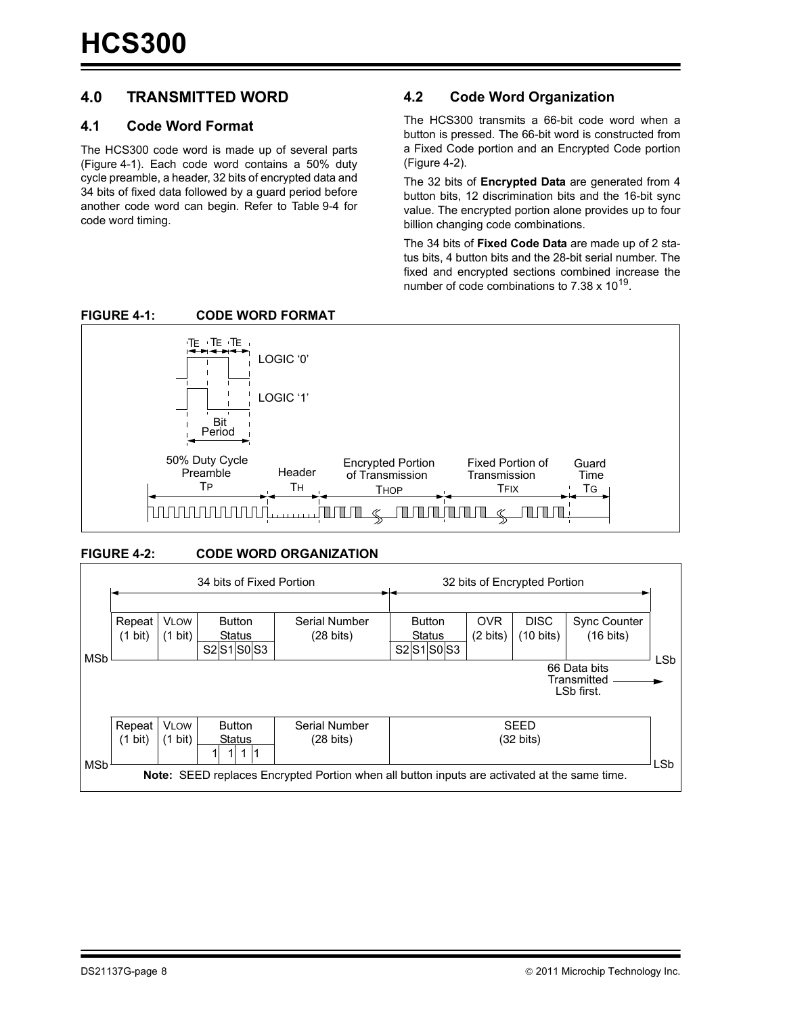#### <span id="page-7-0"></span>**4.0 TRANSMITTED WORD**

#### **4.1 Code Word Format**

The HCS300 code word is made up of several parts (Figure 4-1). Each code word contains a 50% duty cycle preamble, a header, 32 bits of encrypted data and 34 bits of fixed data followed by a guard period before another code word can begin. Refer to [Table 9-4](#page-22-0) for code word timing.

#### **4.2 Code Word Organization**

The HCS300 transmits a 66-bit code word when a button is pressed. The 66-bit word is constructed from a Fixed Code portion and an Encrypted Code portion (Figure 4-2).

The 32 bits of **Encrypted Data** are generated from 4 button bits, 12 discrimination bits and the 16-bit sync value. The encrypted portion alone provides up to four billion changing code combinations.

The 34 bits of **Fixed Code Data** are made up of 2 status bits, 4 button bits and the 28-bit serial number. The fixed and encrypted sections combined increase the number of code combinations to  $7.38 \times 10^{19}$ .





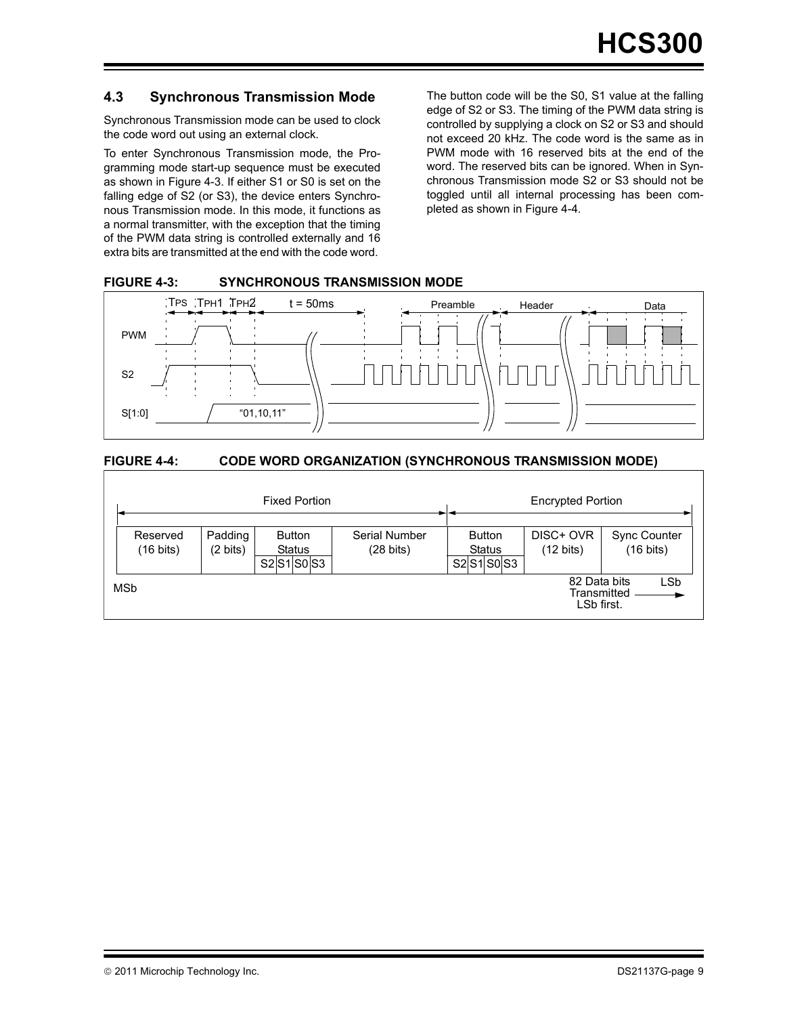#### **4.3 Synchronous Transmission Mode**

Synchronous Transmission mode can be used to clock the code word out using an external clock.

To enter Synchronous Transmission mode, the Programming mode start-up sequence must be executed as shown in Figure 4-3. If either S1 or S0 is set on the falling edge of S2 (or S3), the device enters Synchronous Transmission mode. In this mode, it functions as a normal transmitter, with the exception that the timing of the PWM data string is controlled externally and 16 extra bits are transmitted at the end with the code word.

The button code will be the S0, S1 value at the falling edge of S2 or S3. The timing of the PWM data string is controlled by supplying a clock on S2 or S3 and should not exceed 20 kHz. The code word is the same as in PWM mode with 16 reserved bits at the end of the word. The reserved bits can be ignored. When in Synchronous Transmission mode S2 or S3 should not be toggled until all internal processing has been completed as shown in Figure 4-4.

#### **FIGURE 4-3: SYNCHRONOUS TRANSMISSION MODE**



#### **FIGURE 4-4: CODE WORD ORGANIZATION (SYNCHRONOUS TRANSMISSION MODE)**

|                                 |                     | <b>Fixed Portion</b>                          | <b>Encrypted Portion</b>             |                                            |                                           |                                            |
|---------------------------------|---------------------|-----------------------------------------------|--------------------------------------|--------------------------------------------|-------------------------------------------|--------------------------------------------|
| Reserved<br>$(16 \text{ bits})$ | Padding<br>(2 bits) | <b>Button</b><br><b>Status</b><br>S2 S1 S0 S3 | Serial Number<br>$(28 \text{ bits})$ | <b>Button</b><br><b>Status</b><br>S2S1S0S3 | DISC+ OVR<br>$(12 \text{ bits})$          | <b>Sync Counter</b><br>$(16 \text{ bits})$ |
| MSb                             |                     |                                               |                                      |                                            | 82 Data bits<br>Transmitted<br>LSb first. | <b>LSb</b>                                 |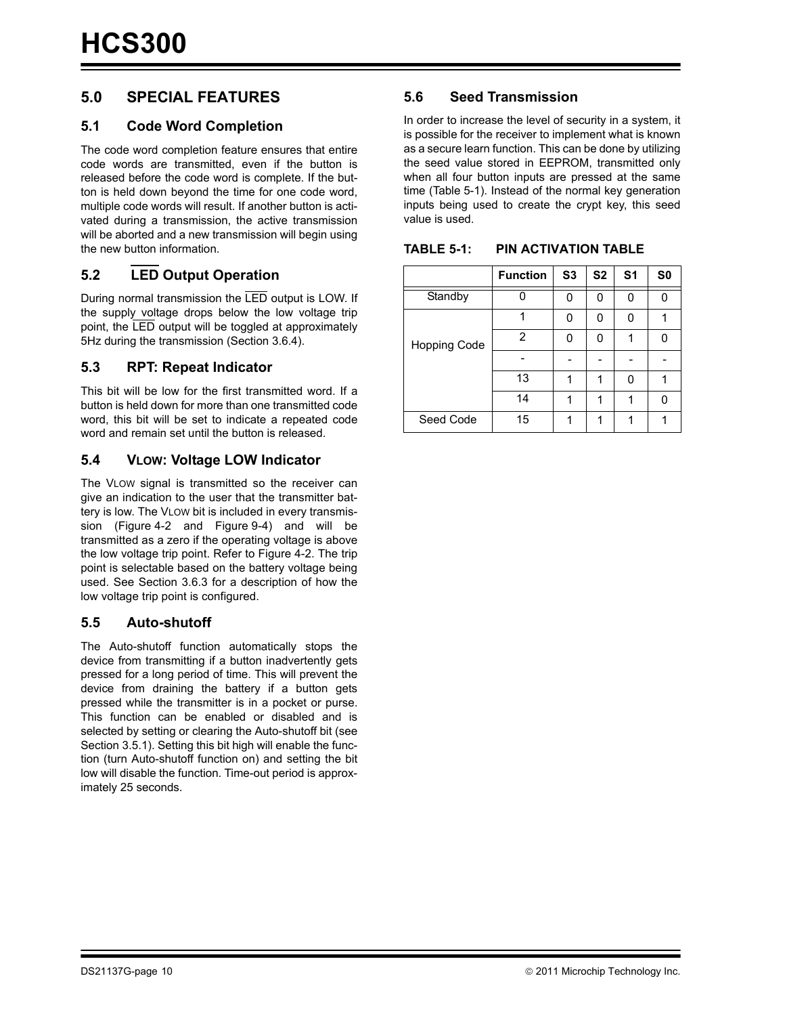#### **5.0 SPECIAL FEATURES**

#### **5.1 Code Word Completion**

The code word completion feature ensures that entire code words are transmitted, even if the button is released before the code word is complete. If the button is held down beyond the time for one code word, multiple code words will result. If another button is activated during a transmission, the active transmission will be aborted and a new transmission will begin using the new button information.

#### **5.2 LED Output Operation**

During normal transmission the LED output is LOW. If the supply voltage drops below the low voltage trip point, the LED output will be toggled at approximately 5Hz during the transmission ([Section 3.6.4](#page-6-0)).

#### **5.3 RPT: Repeat Indicator**

This bit will be low for the first transmitted word. If a button is held down for more than one transmitted code word, this bit will be set to indicate a repeated code word and remain set until the button is released.

#### **5.4 VLOW: Voltage LOW Indicator**

The VLOW signal is transmitted so the receiver can give an indication to the user that the transmitter battery is low. The VLOW bit is included in every transmission [\(Figure 4-2](#page-7-0) and [Figure 9-4](#page-22-0)) and will be transmitted as a zero if the operating voltage is above the low voltage trip point. Refer to [Figure 4-2.](#page-7-0) The trip point is selectable based on the battery voltage being used. See Section 3.6.3 for a description of how the low voltage trip point is configured.

#### **5.5 Auto-shutoff**

The Auto-shutoff function automatically stops the device from transmitting if a button inadvertently gets pressed for a long period of time. This will prevent the device from draining the battery if a button gets pressed while the transmitter is in a pocket or purse. This function can be enabled or disabled and is selected by setting or clearing the Auto-shutoff bit (see [Section 3.5.1](#page-5-0)). Setting this bit high will enable the function (turn Auto-shutoff function on) and setting the bit low will disable the function. Time-out period is approximately 25 seconds.

#### **5.6 Seed Transmission**

In order to increase the level of security in a system, it is possible for the receiver to implement what is known as a secure learn function. This can be done by utilizing the seed value stored in EEPROM, transmitted only when all four button inputs are pressed at the same time (Table 5-1). Instead of the normal key generation inputs being used to create the crypt key, this seed value is used.

|              | <b>Function</b> | S <sub>3</sub> | S <sub>2</sub> | S <sub>1</sub> | S <sub>0</sub> |
|--------------|-----------------|----------------|----------------|----------------|----------------|
| Standby      |                 | n              | ი              | n              | ი              |
|              |                 | n              | ŋ              | O              |                |
| Hopping Code | 2               | በ              | ი              |                | ი              |
|              |                 |                |                |                |                |
|              | 13              |                | 1              | n              |                |
|              | 14              |                |                |                | n              |
| Seed Code    | 15              |                |                |                |                |

**TABLE 5-1: PIN ACTIVATION TABLE**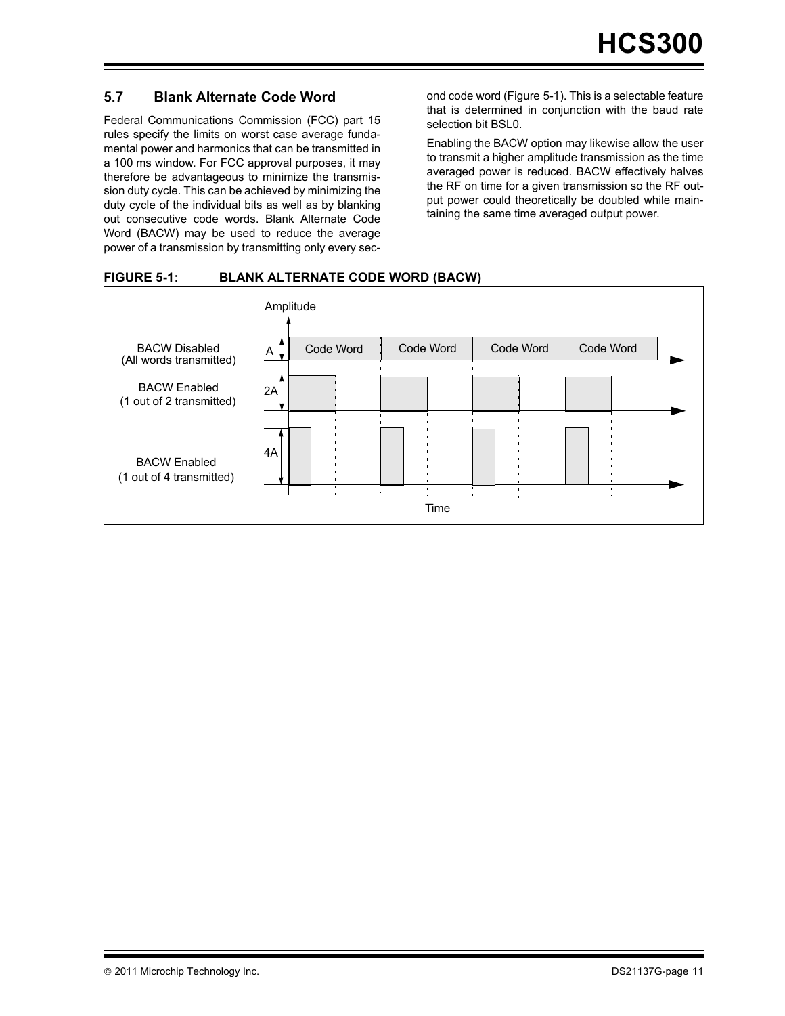#### <span id="page-10-0"></span>**5.7 Blank Alternate Code Word**

Federal Communications Commission (FCC) part 15 rules specify the limits on worst case average fundamental power and harmonics that can be transmitted in a 100 ms window. For FCC approval purposes, it may therefore be advantageous to minimize the transmission duty cycle. This can be achieved by minimizing the duty cycle of the individual bits as well as by blanking out consecutive code words. Blank Alternate Code Word (BACW) may be used to reduce the average power of a transmission by transmitting only every second code word (Figure 5-1). This is a selectable feature that is determined in conjunction with the baud rate selection bit BSL0.

Enabling the BACW option may likewise allow the user to transmit a higher amplitude transmission as the time averaged power is reduced. BACW effectively halves the RF on time for a given transmission so the RF output power could theoretically be doubled while maintaining the same time averaged output power.

#### **FIGURE 5-1: BLANK ALTERNATE CODE WORD (BACW)**

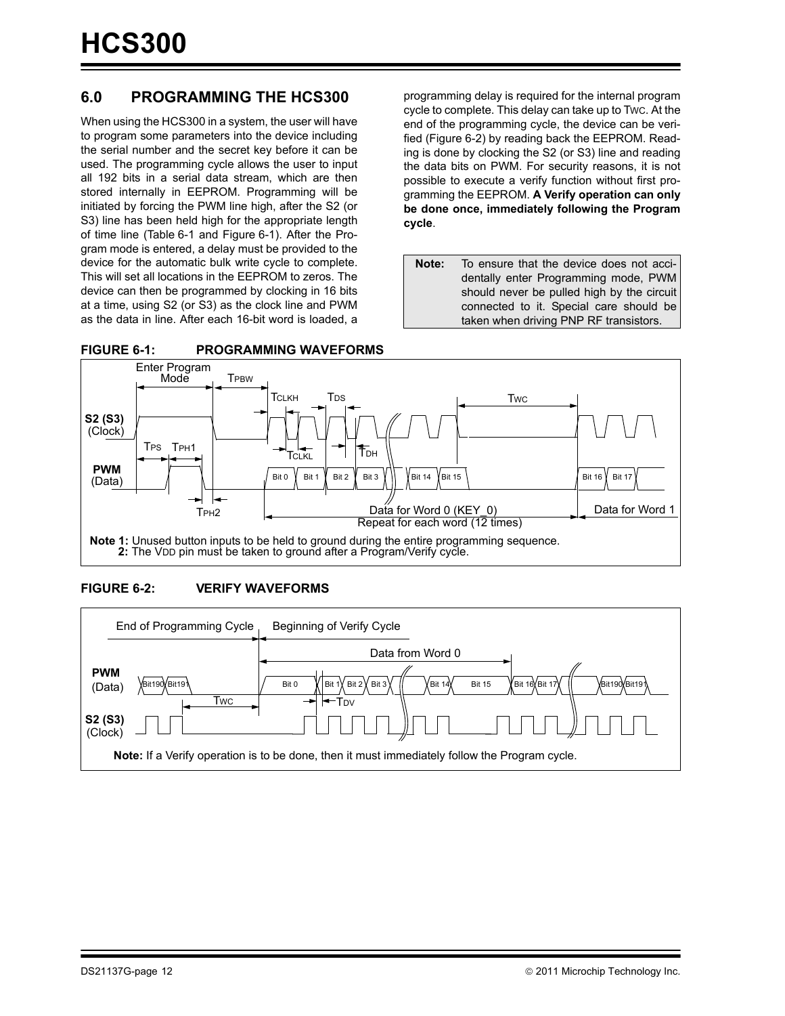#### **6.0 PROGRAMMING THE HCS300**

When using the HCS300 in a system, the user will have to program some parameters into the device including the serial number and the secret key before it can be used. The programming cycle allows the user to input all 192 bits in a serial data stream, which are then stored internally in EEPROM. Programming will be initiated by forcing the PWM line high, after the S2 (or S3) line has been held high for the appropriate length of time line ([Table 6-1](#page-12-0) and Figure 6-1). After the Program mode is entered, a delay must be provided to the device for the automatic bulk write cycle to complete. This will set all locations in the EEPROM to zeros. The device can then be programmed by clocking in 16 bits at a time, using S2 (or S3) as the clock line and PWM as the data in line. After each 16-bit word is loaded, a programming delay is required for the internal program cycle to complete. This delay can take up to TWC. At the end of the programming cycle, the device can be verified (Figure 6-2) by reading back the EEPROM. Reading is done by clocking the S2 (or S3) line and reading the data bits on PWM. For security reasons, it is not possible to execute a verify function without first programming the EEPROM. **A Verify operation can only be done once, immediately following the Program cycle**.

**Note:** To ensure that the device does not accidentally enter Programming mode, PWM should never be pulled high by the circuit connected to it. Special care should be taken when driving PNP RF transistors.





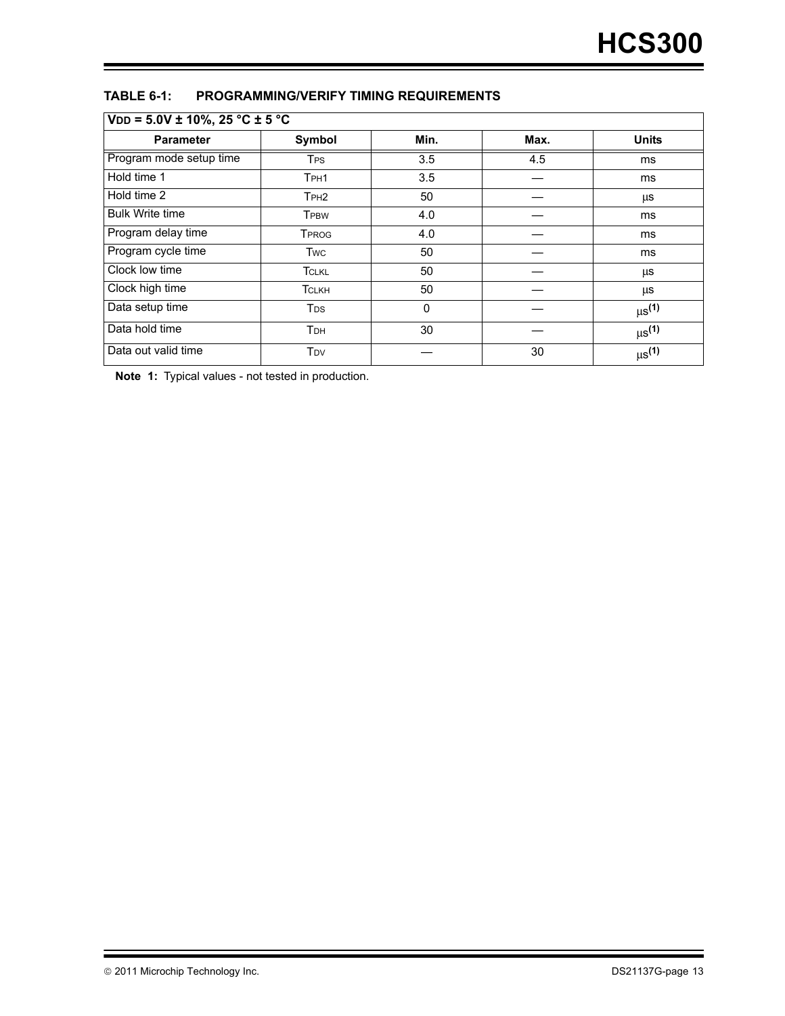#### <span id="page-12-0"></span>**TABLE 6-1: PROGRAMMING/VERIFY TIMING REQUIREMENTS**

| $VDD = 5.0V \pm 10\%, 25 °C \pm 5 °C$ |                        |      |      |                        |  |  |  |  |
|---------------------------------------|------------------------|------|------|------------------------|--|--|--|--|
| <b>Parameter</b>                      | Symbol                 | Min. | Max. | <b>Units</b>           |  |  |  |  |
| Program mode setup time               | <b>T<sub>PS</sub></b>  | 3.5  | 4.5  | ms                     |  |  |  |  |
| Hold time 1                           | TPH1                   | 3.5  |      | ms                     |  |  |  |  |
| Hold time 2                           | T <sub>PH2</sub>       | 50   |      | μs                     |  |  |  |  |
| <b>Bulk Write time</b>                | <b>TPBW</b>            | 4.0  |      | ms                     |  |  |  |  |
| Program delay time                    | <b>TPROG</b>           | 4.0  |      | ms                     |  |  |  |  |
| Program cycle time                    | <b>Twc</b>             | 50   |      | ms                     |  |  |  |  |
| Clock low time                        | <b>TCLKL</b>           | 50   |      | μs                     |  |  |  |  |
| Clock high time                       | <b>TCLKH</b>           | 50   |      | μs                     |  |  |  |  |
| Data setup time                       | <b>T</b> <sub>ps</sub> | 0    |      | $\mu s^{(1)}$          |  |  |  |  |
| Data hold time                        | T <sub>DH</sub>        | 30   |      | $\mu s^{(1)}$          |  |  |  |  |
| Data out valid time                   | T <sub>DV</sub>        |      | 30   | $\mu$ s <sup>(1)</sup> |  |  |  |  |

**Note 1:** Typical values - not tested in production.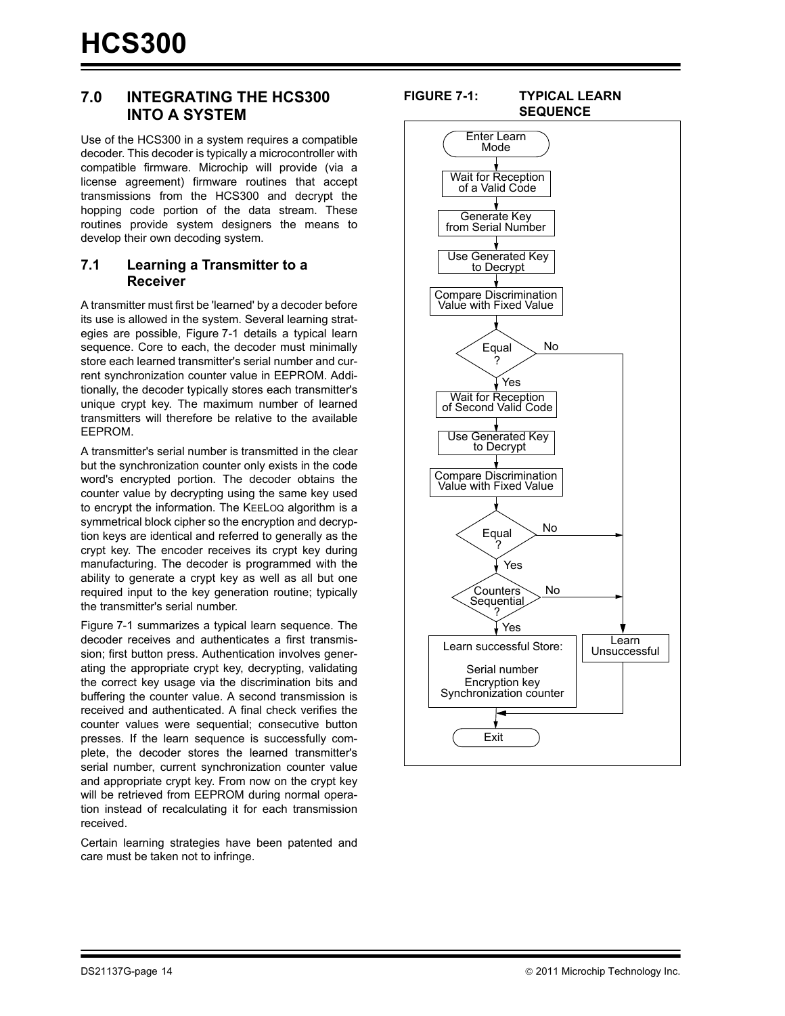#### <span id="page-13-0"></span>**7.0 INTEGRATING THE HCS300 INTO A SYSTEM**

Use of the HCS300 in a system requires a compatible decoder. This decoder is typically a microcontroller with compatible firmware. Microchip will provide (via a license agreement) firmware routines that accept transmissions from the HCS300 and decrypt the hopping code portion of the data stream. These routines provide system designers the means to develop their own decoding system.

#### **7.1 Learning a Transmitter to a Receiver**

A transmitter must first be 'learned' by a decoder before its use is allowed in the system. Several learning strategies are possible, Figure 7-1 details a typical learn sequence. Core to each, the decoder must minimally store each learned transmitter's serial number and current synchronization counter value in EEPROM. Additionally, the decoder typically stores each transmitter's unique crypt key. The maximum number of learned transmitters will therefore be relative to the available EEPROM.

A transmitter's serial number is transmitted in the clear but the synchronization counter only exists in the code word's encrypted portion. The decoder obtains the counter value by decrypting using the same key used to encrypt the information. The KEELOQ algorithm is a symmetrical block cipher so the encryption and decryption keys are identical and referred to generally as the crypt key. The encoder receives its crypt key during manufacturing. The decoder is programmed with the ability to generate a crypt key as well as all but one required input to the key generation routine; typically the transmitter's serial number.

Figure 7-1 summarizes a typical learn sequence. The decoder receives and authenticates a first transmission; first button press. Authentication involves generating the appropriate crypt key, decrypting, validating the correct key usage via the discrimination bits and buffering the counter value. A second transmission is received and authenticated. A final check verifies the counter values were sequential; consecutive button presses. If the learn sequence is successfully complete, the decoder stores the learned transmitter's serial number, current synchronization counter value and appropriate crypt key. From now on the crypt key will be retrieved from EEPROM during normal operation instead of recalculating it for each transmission received.

Certain learning strategies have been patented and care must be taken not to infringe.

#### **FIGURE 7-1: TYPICAL LEARN SEQUENCE**

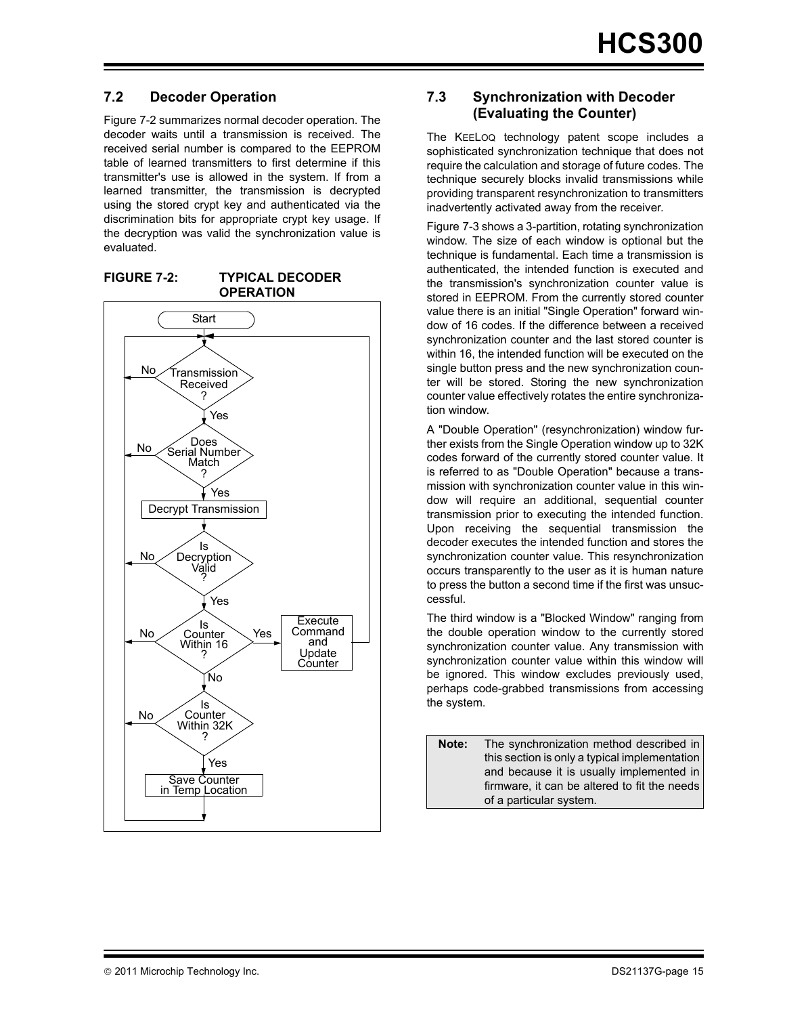#### **7.2 Decoder Operation**

Figure 7-2 summarizes normal decoder operation. The decoder waits until a transmission is received. The received serial number is compared to the EEPROM table of learned transmitters to first determine if this transmitter's use is allowed in the system. If from a learned transmitter, the transmission is decrypted using the stored crypt key and authenticated via the discrimination bits for appropriate crypt key usage. If the decryption was valid the synchronization value is evaluated.

**FIGURE 7-2: TYPICAL DECODER OPERATION**



#### **7.3 Synchronization with Decoder (Evaluating the Counter)**

The KEELOQ technology patent scope includes a sophisticated synchronization technique that does not require the calculation and storage of future codes. The technique securely blocks invalid transmissions while providing transparent resynchronization to transmitters inadvertently activated away from the receiver.

[Figure 7-3](#page-15-0) shows a 3-partition, rotating synchronization window. The size of each window is optional but the technique is fundamental. Each time a transmission is authenticated, the intended function is executed and the transmission's synchronization counter value is stored in EEPROM. From the currently stored counter value there is an initial "Single Operation" forward window of 16 codes. If the difference between a received synchronization counter and the last stored counter is within 16, the intended function will be executed on the single button press and the new synchronization counter will be stored. Storing the new synchronization counter value effectively rotates the entire synchronization window.

A "Double Operation" (resynchronization) window further exists from the Single Operation window up to 32K codes forward of the currently stored counter value. It is referred to as "Double Operation" because a transmission with synchronization counter value in this window will require an additional, sequential counter transmission prior to executing the intended function. Upon receiving the sequential transmission the decoder executes the intended function and stores the synchronization counter value. This resynchronization occurs transparently to the user as it is human nature to press the button a second time if the first was unsuccessful.

The third window is a "Blocked Window" ranging from the double operation window to the currently stored synchronization counter value. Any transmission with synchronization counter value within this window will be ignored. This window excludes previously used, perhaps code-grabbed transmissions from accessing the system.

**Note:** The synchronization method described in this section is only a typical implementation and because it is usually implemented in firmware, it can be altered to fit the needs of a particular system.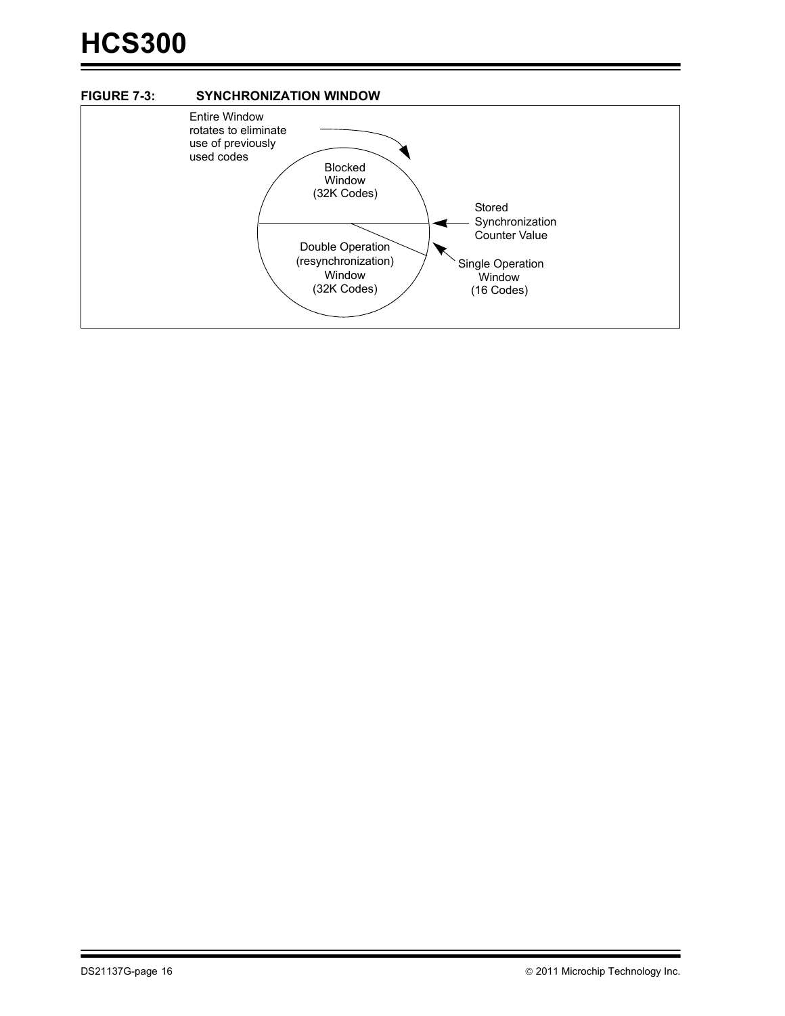<span id="page-15-0"></span>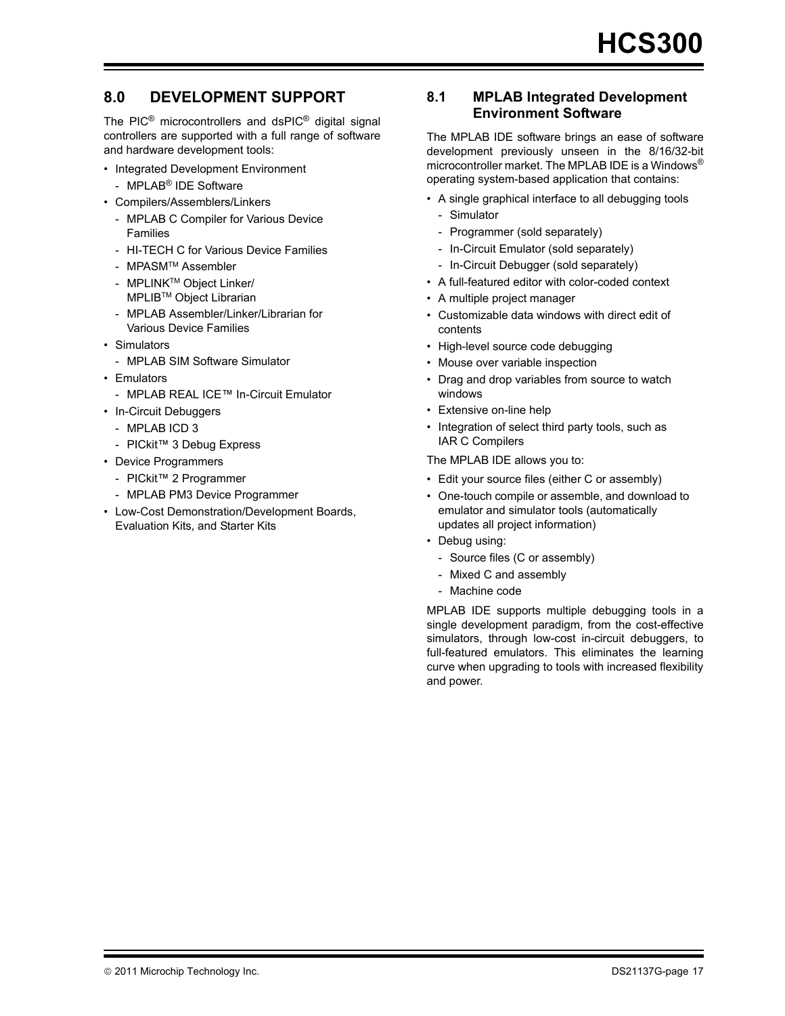#### **8.0 DEVELOPMENT SUPPORT**

The PIC<sup>®</sup> microcontrollers and dsPIC<sup>®</sup> digital signal controllers are supported with a full range of software and hardware development tools:

- Integrated Development Environment
- MPLAB® IDE Software
- Compilers/Assemblers/Linkers
	- MPLAB C Compiler for Various Device Families
	- HI-TECH C for Various Device Families
	- MPASMTM Assembler
	- MPLINKTM Object Linker/ MPLIBTM Object Librarian
	- MPLAB Assembler/Linker/Librarian for Various Device Families
- Simulators
	- MPLAB SIM Software Simulator
- Emulators
	- MPLAB REAL ICE™ In-Circuit Emulator
- In-Circuit Debuggers
	- MPLAB ICD 3
	- PICkit™ 3 Debug Express
- Device Programmers
	- PICkit™ 2 Programmer
	- MPLAB PM3 Device Programmer
- Low-Cost Demonstration/Development Boards, Evaluation Kits, and Starter Kits

#### **8.1 MPLAB Integrated Development Environment Software**

The MPLAB IDE software brings an ease of software development previously unseen in the 8/16/32-bit microcontroller market. The MPLAB IDE is a Windows® operating system-based application that contains:

- A single graphical interface to all debugging tools
	- Simulator
	- Programmer (sold separately)
	- In-Circuit Emulator (sold separately)
	- In-Circuit Debugger (sold separately)
- A full-featured editor with color-coded context
- A multiple project manager
- Customizable data windows with direct edit of contents
- High-level source code debugging
- Mouse over variable inspection
- Drag and drop variables from source to watch windows
- Extensive on-line help
- Integration of select third party tools, such as IAR C Compilers

The MPLAB IDE allows you to:

- Edit your source files (either C or assembly)
- One-touch compile or assemble, and download to emulator and simulator tools (automatically updates all project information)
- Debug using:
	- Source files (C or assembly)
	- Mixed C and assembly
	- Machine code

MPLAB IDE supports multiple debugging tools in a single development paradigm, from the cost-effective simulators, through low-cost in-circuit debuggers, to full-featured emulators. This eliminates the learning curve when upgrading to tools with increased flexibility and power.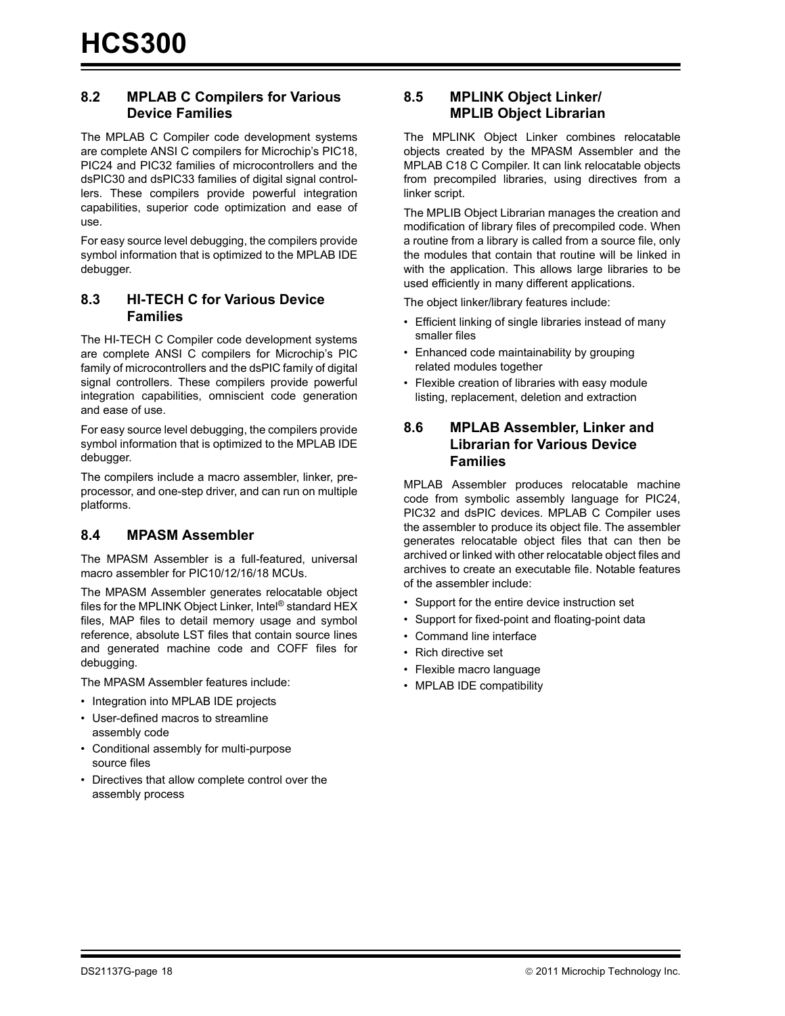#### **8.2 MPLAB C Compilers for Various Device Families**

The MPLAB C Compiler code development systems are complete ANSI C compilers for Microchip's PIC18, PIC24 and PIC32 families of microcontrollers and the dsPIC30 and dsPIC33 families of digital signal controllers. These compilers provide powerful integration capabilities, superior code optimization and ease of use.

For easy source level debugging, the compilers provide symbol information that is optimized to the MPLAB IDE debugger.

#### **8.3 HI-TECH C for Various Device Families**

The HI-TECH C Compiler code development systems are complete ANSI C compilers for Microchip's PIC family of microcontrollers and the dsPIC family of digital signal controllers. These compilers provide powerful integration capabilities, omniscient code generation and ease of use.

For easy source level debugging, the compilers provide symbol information that is optimized to the MPLAB IDE debugger.

The compilers include a macro assembler, linker, preprocessor, and one-step driver, and can run on multiple platforms.

#### **8.4 MPASM Assembler**

The MPASM Assembler is a full-featured, universal macro assembler for PIC10/12/16/18 MCUs.

The MPASM Assembler generates relocatable object files for the MPLINK Object Linker, Intel® standard HEX files, MAP files to detail memory usage and symbol reference, absolute LST files that contain source lines and generated machine code and COFF files for debugging.

The MPASM Assembler features include:

- Integration into MPLAB IDE projects
- User-defined macros to streamline assembly code
- Conditional assembly for multi-purpose source files
- Directives that allow complete control over the assembly process

#### **8.5 MPLINK Object Linker/ MPLIB Object Librarian**

The MPLINK Object Linker combines relocatable objects created by the MPASM Assembler and the MPLAB C18 C Compiler. It can link relocatable objects from precompiled libraries, using directives from a linker script.

The MPLIB Object Librarian manages the creation and modification of library files of precompiled code. When a routine from a library is called from a source file, only the modules that contain that routine will be linked in with the application. This allows large libraries to be used efficiently in many different applications.

The object linker/library features include:

- Efficient linking of single libraries instead of many smaller files
- Enhanced code maintainability by grouping related modules together
- Flexible creation of libraries with easy module listing, replacement, deletion and extraction

#### **8.6 MPLAB Assembler, Linker and Librarian for Various Device Families**

MPLAB Assembler produces relocatable machine code from symbolic assembly language for PIC24, PIC32 and dsPIC devices. MPLAB C Compiler uses the assembler to produce its object file. The assembler generates relocatable object files that can then be archived or linked with other relocatable object files and archives to create an executable file. Notable features of the assembler include:

- Support for the entire device instruction set
- Support for fixed-point and floating-point data
- Command line interface
- Rich directive set
- Flexible macro language
- MPLAB IDE compatibility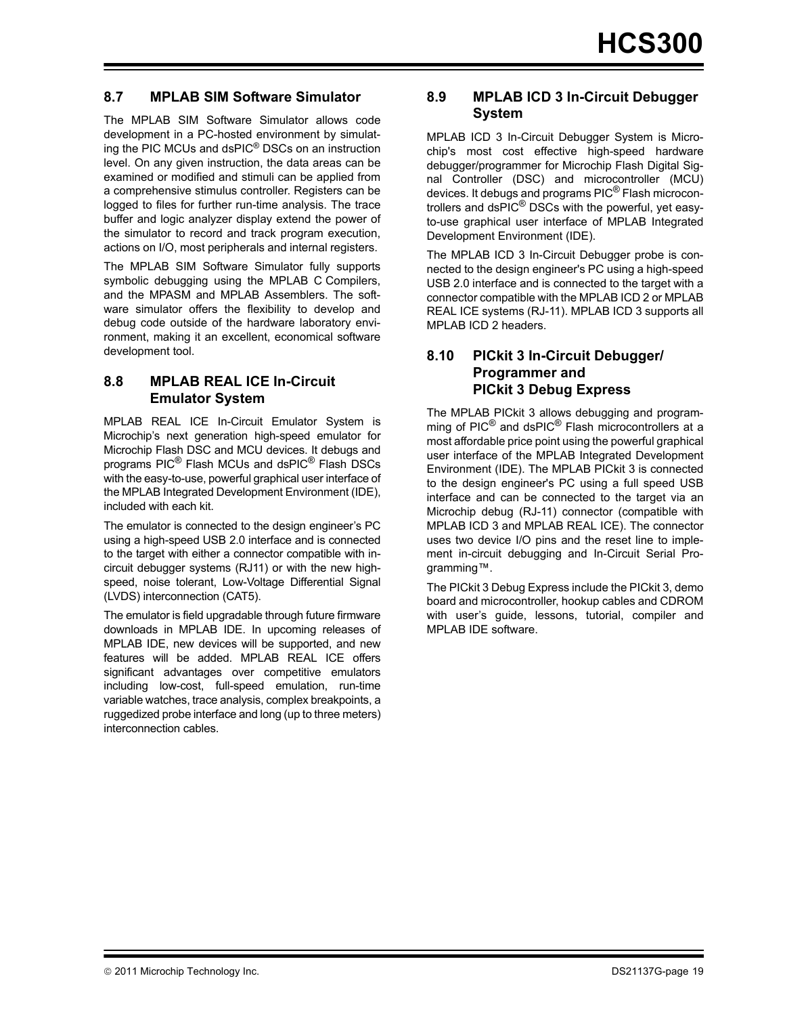#### **8.7 MPLAB SIM Software Simulator**

The MPLAB SIM Software Simulator allows code development in a PC-hosted environment by simulating the PIC MCUs and dsPIC® DSCs on an instruction level. On any given instruction, the data areas can be examined or modified and stimuli can be applied from a comprehensive stimulus controller. Registers can be logged to files for further run-time analysis. The trace buffer and logic analyzer display extend the power of the simulator to record and track program execution, actions on I/O, most peripherals and internal registers.

The MPLAB SIM Software Simulator fully supports symbolic debugging using the MPLAB C Compilers, and the MPASM and MPLAB Assemblers. The software simulator offers the flexibility to develop and debug code outside of the hardware laboratory environment, making it an excellent, economical software development tool.

#### **8.8 MPLAB REAL ICE In-Circuit Emulator System**

MPLAB REAL ICE In-Circuit Emulator System is Microchip's next generation high-speed emulator for Microchip Flash DSC and MCU devices. It debugs and programs PIC® Flash MCUs and dsPIC® Flash DSCs with the easy-to-use, powerful graphical user interface of the MPLAB Integrated Development Environment (IDE), included with each kit.

The emulator is connected to the design engineer's PC using a high-speed USB 2.0 interface and is connected to the target with either a connector compatible with incircuit debugger systems (RJ11) or with the new highspeed, noise tolerant, Low-Voltage Differential Signal (LVDS) interconnection (CAT5).

The emulator is field upgradable through future firmware downloads in MPLAB IDE. In upcoming releases of MPLAB IDE, new devices will be supported, and new features will be added. MPLAB REAL ICE offers significant advantages over competitive emulators including low-cost, full-speed emulation, run-time variable watches, trace analysis, complex breakpoints, a ruggedized probe interface and long (up to three meters) interconnection cables.

#### **8.9 MPLAB ICD 3 In-Circuit Debugger System**

MPLAB ICD 3 In-Circuit Debugger System is Microchip's most cost effective high-speed hardware debugger/programmer for Microchip Flash Digital Signal Controller (DSC) and microcontroller (MCU) devices. It debugs and programs PIC® Flash microcontrollers and dsPIC® DSCs with the powerful, yet easyto-use graphical user interface of MPLAB Integrated Development Environment (IDE).

The MPLAB ICD 3 In-Circuit Debugger probe is connected to the design engineer's PC using a high-speed USB 2.0 interface and is connected to the target with a connector compatible with the MPLAB ICD 2 or MPLAB REAL ICE systems (RJ-11). MPLAB ICD 3 supports all MPLAB ICD 2 headers.

#### **8.10 PICkit 3 In-Circuit Debugger/ Programmer and PICkit 3 Debug Express**

The MPLAB PICkit 3 allows debugging and programming of PIC<sup>®</sup> and dsPIC<sup>®</sup> Flash microcontrollers at a most affordable price point using the powerful graphical user interface of the MPLAB Integrated Development Environment (IDE). The MPLAB PICkit 3 is connected to the design engineer's PC using a full speed USB interface and can be connected to the target via an Microchip debug (RJ-11) connector (compatible with MPLAB ICD 3 and MPLAB REAL ICE). The connector uses two device I/O pins and the reset line to implement in-circuit debugging and In-Circuit Serial Programming™.

The PICkit 3 Debug Express include the PICkit 3, demo board and microcontroller, hookup cables and CDROM with user's guide, lessons, tutorial, compiler and MPLAB IDE software.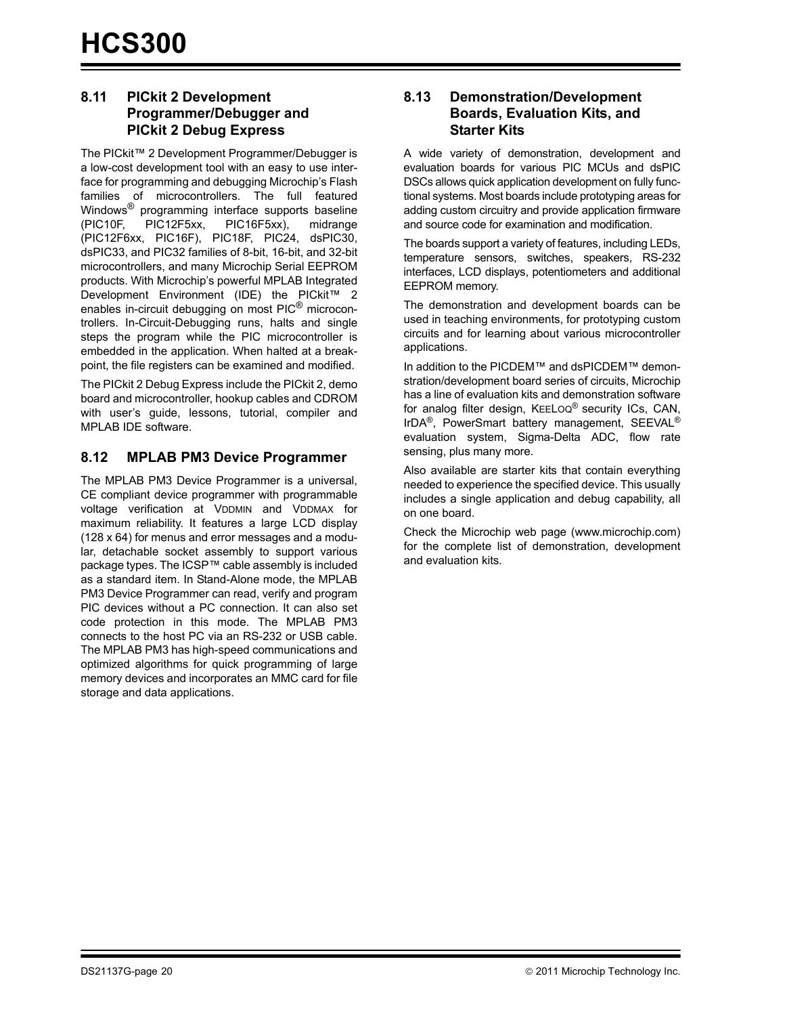#### **8.11 PICkit 2 Development Programmer/Debugger and PICkit 2 Debug Express**

The PICkit™ 2 Development Programmer/Debugger is a low-cost development tool with an easy to use interface for programming and debugging Microchip's Flash families of microcontrollers. The full featured Windows<sup>®</sup> programming interface supports baseline (PIC10F, PIC12F5xx, PIC16F5xx), midrange (PIC12F6xx, PIC16F), PIC18F, PIC24, dsPIC30, dsPIC33, and PIC32 families of 8-bit, 16-bit, and 32-bit microcontrollers, and many Microchip Serial EEPROM products. With Microchip's powerful MPLAB Integrated Development Environment (IDE) the PICkit™ 2 enables in-circuit debugging on most PIC<sup>®</sup> microcontrollers. In-Circuit-Debugging runs, halts and single steps the program while the PIC microcontroller is embedded in the application. When halted at a breakpoint, the file registers can be examined and modified.

The PICkit 2 Debug Express include the PICkit 2, demo board and microcontroller, hookup cables and CDROM with user's guide, lessons, tutorial, compiler and MPLAB IDE software.

#### **8.12 MPLAB PM3 Device Programmer**

The MPLAB PM3 Device Programmer is a universal, CE compliant device programmer with programmable voltage verification at VDDMIN and VDDMAX for maximum reliability. It features a large LCD display (128 x 64) for menus and error messages and a modular, detachable socket assembly to support various package types. The ICSP™ cable assembly is included as a standard item. In Stand-Alone mode, the MPLAB PM3 Device Programmer can read, verify and program PIC devices without a PC connection. It can also set code protection in this mode. The MPLAB PM3 connects to the host PC via an RS-232 or USB cable. The MPLAB PM3 has high-speed communications and optimized algorithms for quick programming of large memory devices and incorporates an MMC card for file storage and data applications.

#### **8.13 Demonstration/Development Boards, Evaluation Kits, and Starter Kits**

A wide variety of demonstration, development and evaluation boards for various PIC MCUs and dsPIC DSCs allows quick application development on fully functional systems. Most boards include prototyping areas for adding custom circuitry and provide application firmware and source code for examination and modification.

The boards support a variety of features, including LEDs, temperature sensors, switches, speakers, RS-232 interfaces, LCD displays, potentiometers and additional EEPROM memory.

The demonstration and development boards can be used in teaching environments, for prototyping custom circuits and for learning about various microcontroller applications.

In addition to the PICDEM™ and dsPICDEM™ demonstration/development board series of circuits, Microchip has a line of evaluation kits and demonstration software for analog filter design, KEELOQ® security ICs, CAN, IrDA®, PowerSmart battery management, SEEVAL® evaluation system, Sigma-Delta ADC, flow rate sensing, plus many more.

Also available are starter kits that contain everything needed to experience the specified device. This usually includes a single application and debug capability, all on one board.

[Check the Microchip web page \(w](http://www.microchip.com)ww.microchip.com) for the complete list of demonstration, development and evaluation kits.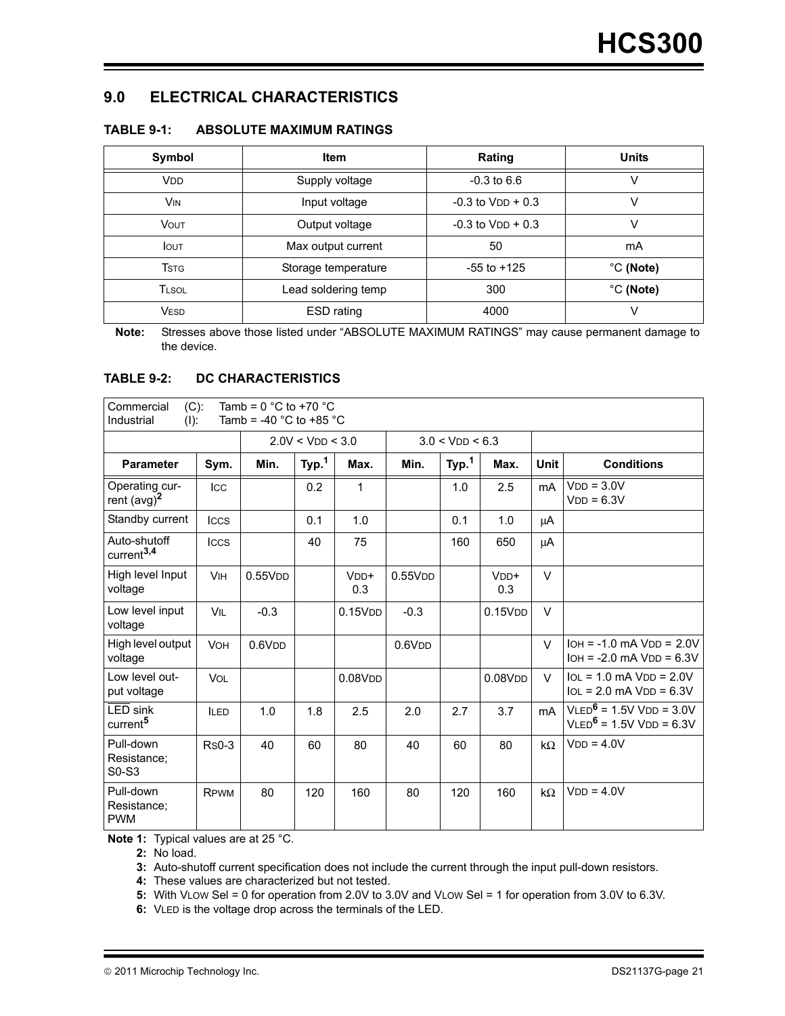#### **9.0 ELECTRICAL CHARACTERISTICS**

| Symbol                   | <b>Item</b>         | Rating                | <b>Units</b>        |
|--------------------------|---------------------|-----------------------|---------------------|
| <b>V<sub>DD</sub></b>    | Supply voltage      | $-0.3$ to 6.6         |                     |
| <b>VIN</b>               | Input voltage       | $-0.3$ to $VDD + 0.3$ | V                   |
| <b>VOUT</b>              | Output voltage      | $-0.3$ to $VDD + 0.3$ | V                   |
| <b>I</b> OUT             | Max output current  | 50                    | mA                  |
| <b>T</b> st <sub>G</sub> | Storage temperature | $-55$ to $+125$       | $^{\circ}$ C (Note) |
| <b>TLSOL</b>             | Lead soldering temp | 300                   | °C (Note)           |
| <b>VESD</b>              | ESD rating          | 4000                  |                     |

#### **TABLE 9-1: ABSOLUTE MAXIMUM RATINGS**

**Note:** Stresses above those listed under "ABSOLUTE MAXIMUM RATINGS" may cause permanent damage to the device.

#### **TABLE 9-2: DC CHARACTERISTICS**

| Commercial<br>$(C)$ :<br>Industrial<br>$(1)$ : |              | Tamb = $0^{\circ}$ C to +70 $^{\circ}$ C<br>Tamb = -40 $^{\circ}$ C to +85 $^{\circ}$ C |                  |                     |                    |                     |                            |                |                                                              |
|------------------------------------------------|--------------|-----------------------------------------------------------------------------------------|------------------|---------------------|--------------------|---------------------|----------------------------|----------------|--------------------------------------------------------------|
|                                                |              |                                                                                         | 2.0V < VDD < 3.0 |                     |                    | $3.0 <$ VDD $< 6.3$ |                            |                |                                                              |
| <b>Parameter</b>                               | Sym.         | Min.                                                                                    | Typ. $1$         | Max.                | Min.               | Typ. <sup>1</sup>   | Max.                       | <b>Unit</b>    | <b>Conditions</b>                                            |
| Operating cur-<br>rent $(avg)^2$               | Icc          |                                                                                         | 0.2              | 1                   |                    | 1.0                 | 2.5                        | mA             | $VDD = 3.0V$<br>$VDD = 6.3V$                                 |
| Standby current                                | <b>ICCS</b>  |                                                                                         | 0.1              | 1.0                 |                    | 0.1                 | 1.0                        | μA             |                                                              |
| Auto-shutoff<br>current <sup>3,4</sup>         | <b>ICCS</b>  |                                                                                         | 40               | 75                  |                    | 160                 | 650                        | μA             |                                                              |
| High level Input<br>voltage                    | <b>VIH</b>   | 0.55V <sub>DD</sub>                                                                     |                  | $VDD+$<br>0.3       | 0.55VDD            |                     | $V$ <sub>DD</sub> +<br>0.3 | $\vee$         |                                                              |
| Low level input<br>voltage                     | VIL          | $-0.3$                                                                                  |                  | 0.15VDD             | $-0.3$             |                     | 0.15VDD                    | $\vee$         |                                                              |
| High level output<br>voltage                   | <b>VOH</b>   | 0.6V <sub>DD</sub>                                                                      |                  |                     | 0.6V <sub>DD</sub> |                     |                            | $\vee$         | $IOH = -1.0$ mA $VDD = 2.0V$<br>$IOH = -2.0$ mA $VDD = 6.3V$ |
| Low level out-<br>put voltage                  | <b>VOL</b>   |                                                                                         |                  | 0.08V <sub>DD</sub> |                    |                     | 0.08V <sub>DD</sub>        | $\vee$         | $IOL = 1.0$ mA $VDD = 2.0V$<br>$10L = 2.0$ mA $VDD = 6.3V$   |
| LED sink<br>current <sup>5</sup>               | <b>ILED</b>  | 1.0                                                                                     | 1.8              | 2.5                 | 2.0                | 2.7                 | 3.7                        | m <sub>A</sub> | $VLED6 = 1.5V VDD = 3.0V$<br>$VLED6 = 1.5V VDD = 6.3V$       |
| Pull-down<br>Resistance;<br>S0-S3              | <b>Rs0-3</b> | 40                                                                                      | 60               | 80                  | 40                 | 60                  | 80                         | $k\Omega$      | $VDD = 4.0V$                                                 |
| Pull-down<br>Resistance;<br><b>PWM</b>         | <b>RPWM</b>  | 80                                                                                      | 120              | 160                 | 80                 | 120                 | 160                        | $k\Omega$      | $VDD = 4.0V$                                                 |

**Note 1:** Typical values are at 25 °C.

**2:** No load.

**3:** Auto-shutoff current specification does not include the current through the input pull-down resistors.

**4:** These values are characterized but not tested.

**5:** With VLOW Sel = 0 for operation from 2.0V to 3.0V and VLOW Sel = 1 for operation from 3.0V to 6.3V.

**6:** VLED is the voltage drop across the terminals of the LED.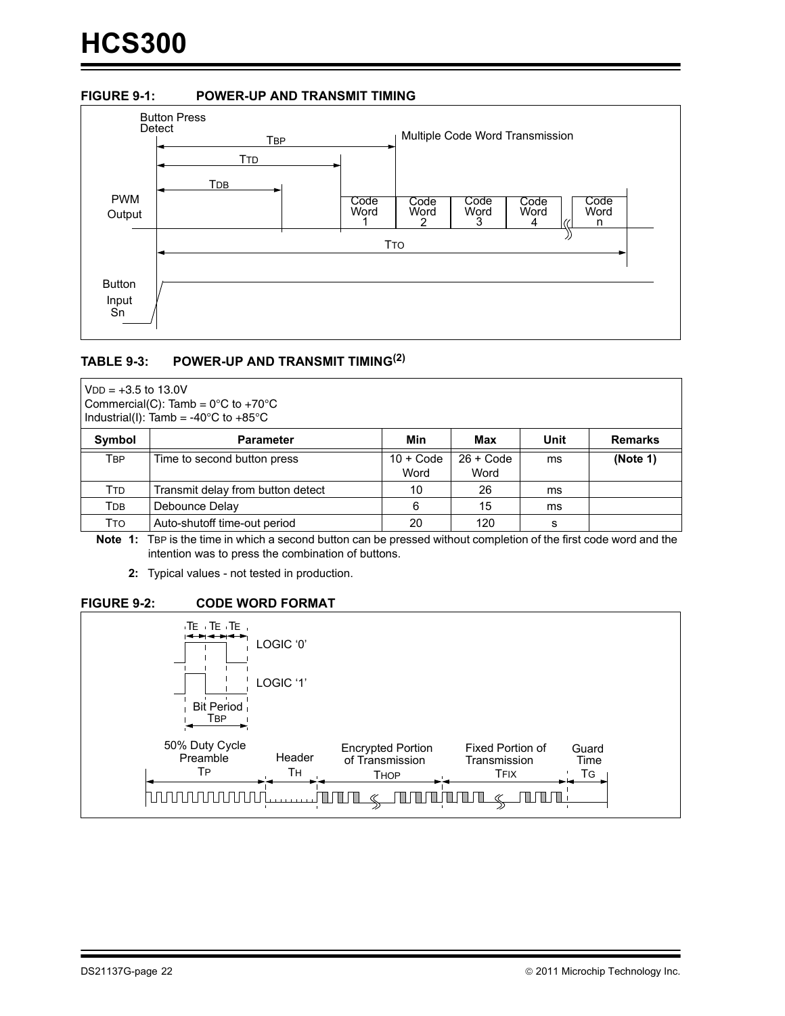#### <span id="page-21-0"></span>**FIGURE 9-1: POWER-UP AND TRANSMIT TIMING**



#### **TABLE 9-3: POWER-UP AND TRANSMIT TIMING(2)**

 $VDD = +3.5$  to 13.0V Commercial(C): Tamb =  $0^{\circ}$ C to +70 $^{\circ}$ C Industrial(I): Tamb = -40 $^{\circ}$ C to +85 $^{\circ}$ C

| Symbol | <b>Parameter</b>                  | Min         | Max         | Unit | <b>Remarks</b> |
|--------|-----------------------------------|-------------|-------------|------|----------------|
| TBP    | Time to second button press       | $10 + Code$ | $26 + Code$ | ms   | (Note 1)       |
|        |                                   | Word        | Word        |      |                |
| Ttd    | Transmit delay from button detect | 10          | 26          | ms   |                |
| Трв    | Debounce Delay                    | 6           | 15          | ms   |                |
| Тто    | Auto-shutoff time-out period      | 20          | 120         |      |                |

**Note 1:** TBP is the time in which a second button can be pressed without completion of the first code word and the intention was to press the combination of buttons.

**2:** Typical values - not tested in production.

#### **FIGURE 9-2: CODE WORD FORMAT**

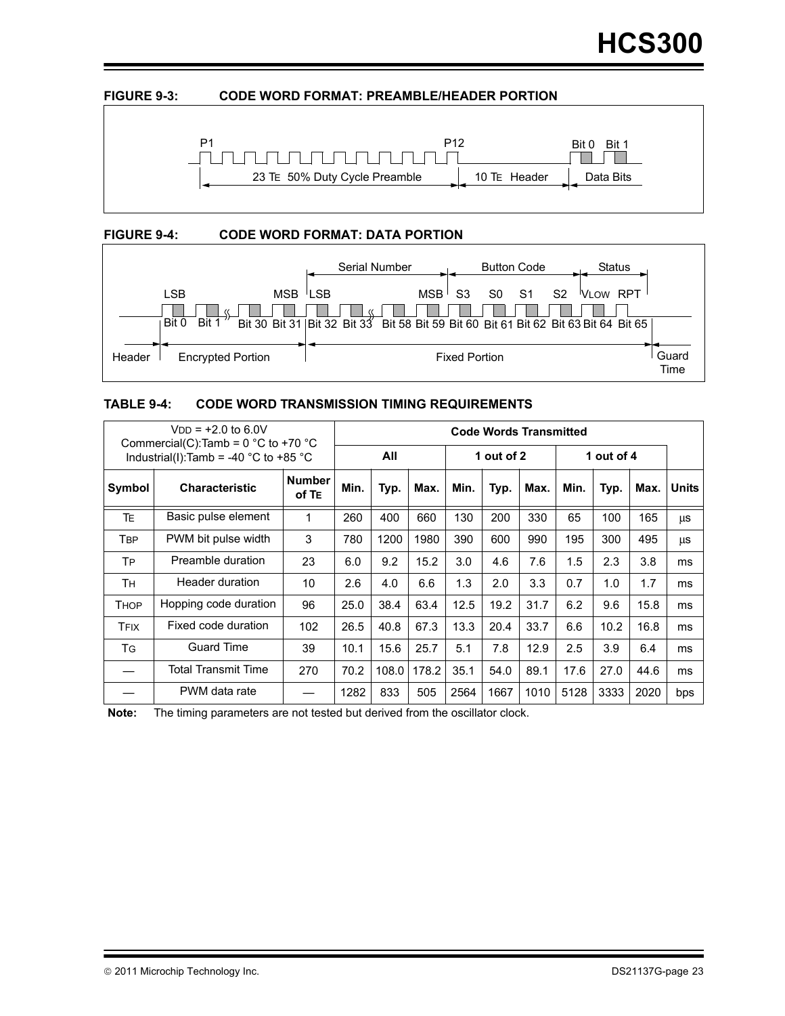#### <span id="page-22-0"></span>**FIGURE 9-3: CODE WORD FORMAT: PREAMBLE/HEADER PORTION**



#### **FIGURE 9-4: CODE WORD FORMAT: DATA PORTION**



#### **TABLE 9-4: CODE WORD TRANSMISSION TIMING REQUIREMENTS**

| $VDD = +2.0$ to 6.0V<br>Commercial(C):Tamb = $0^{\circ}$ C to +70 $^{\circ}$ C |                                       |                        | <b>Code Words Transmitted</b> |       |       |      |            |      |         |            |      |       |
|--------------------------------------------------------------------------------|---------------------------------------|------------------------|-------------------------------|-------|-------|------|------------|------|---------|------------|------|-------|
|                                                                                | Industrial(I):Tamb = -40 °C to +85 °C |                        |                               | All   |       |      | 1 out of 2 |      |         | 1 out of 4 |      |       |
| Symbol                                                                         | <b>Characteristic</b>                 | <b>Number</b><br>of TE | Min.                          | Typ.  | Max.  | Min. | Typ.       | Max. | Min.    | Typ.       | Max. | Units |
| <b>TE</b>                                                                      | Basic pulse element                   | 1                      | 260                           | 400   | 660   | 130  | 200        | 330  | 65      | 100        | 165  | μs    |
| <b>TBP</b>                                                                     | PWM bit pulse width                   | 3                      | 780                           | 1200  | 1980  | 390  | 600        | 990  | 195     | 300        | 495  | μs    |
| <b>TP</b>                                                                      | Preamble duration                     | 23                     | 6.0                           | 9.2   | 15.2  | 3.0  | 4.6        | 7.6  | 1.5     | 2.3        | 3.8  | ms    |
| Τн                                                                             | Header duration                       | 10                     | 2.6                           | 4.0   | 6.6   | 1.3  | 2.0        | 3.3  | 0.7     | 1.0        | 1.7  | ms    |
| Тнор                                                                           | Hopping code duration                 | 96                     | 25.0                          | 38.4  | 63.4  | 12.5 | 19.2       | 31.7 | 6.2     | 9.6        | 15.8 | ms    |
| <b>TFIX</b>                                                                    | Fixed code duration                   | 102                    | 26.5                          | 40.8  | 67.3  | 13.3 | 20.4       | 33.7 | 6.6     | 10.2       | 16.8 | ms    |
| TG                                                                             | <b>Guard Time</b>                     | 39                     | 10.1                          | 15.6  | 25.7  | 5.1  | 7.8        | 12.9 | $2.5\,$ | 3.9        | 6.4  | ms    |
|                                                                                | <b>Total Transmit Time</b>            | 270                    | 70.2                          | 108.0 | 178.2 | 35.1 | 54.0       | 89.1 | 17.6    | 27.0       | 44.6 | ms    |
|                                                                                | PWM data rate                         |                        | 1282                          | 833   | 505   | 2564 | 1667       | 1010 | 5128    | 3333       | 2020 | bps   |

**Note:** The timing parameters are not tested but derived from the oscillator clock.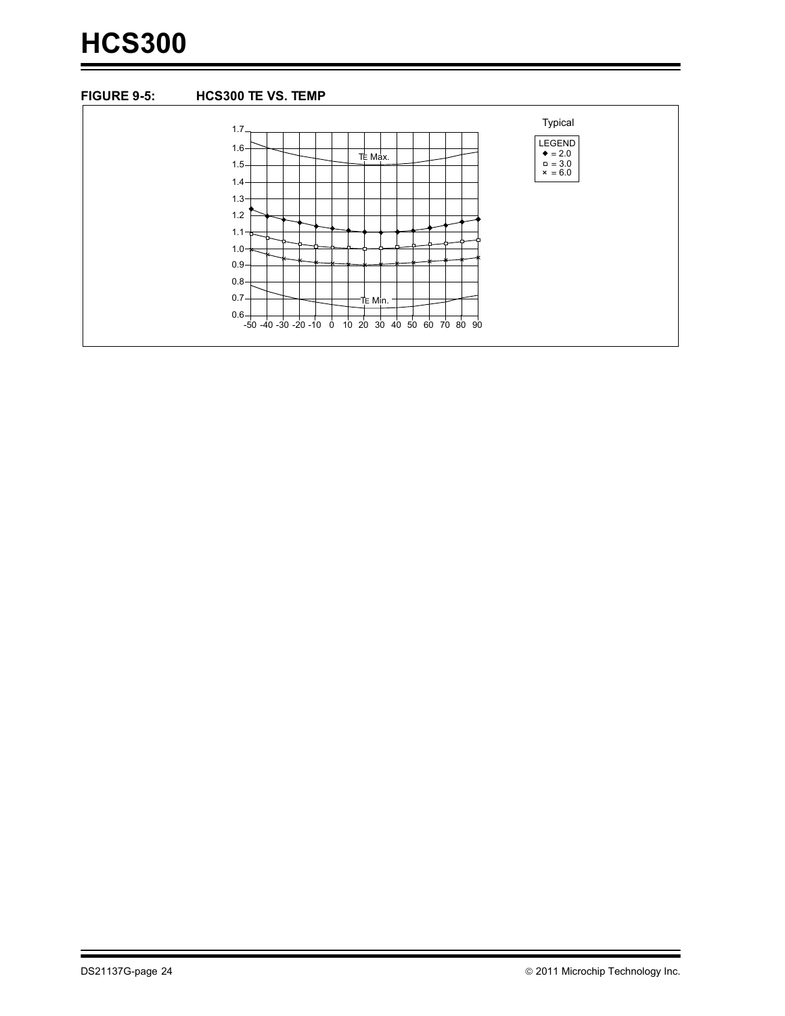# **HCS300**

#### **FIGURE 9-5: HCS300 TE VS. TEMP**

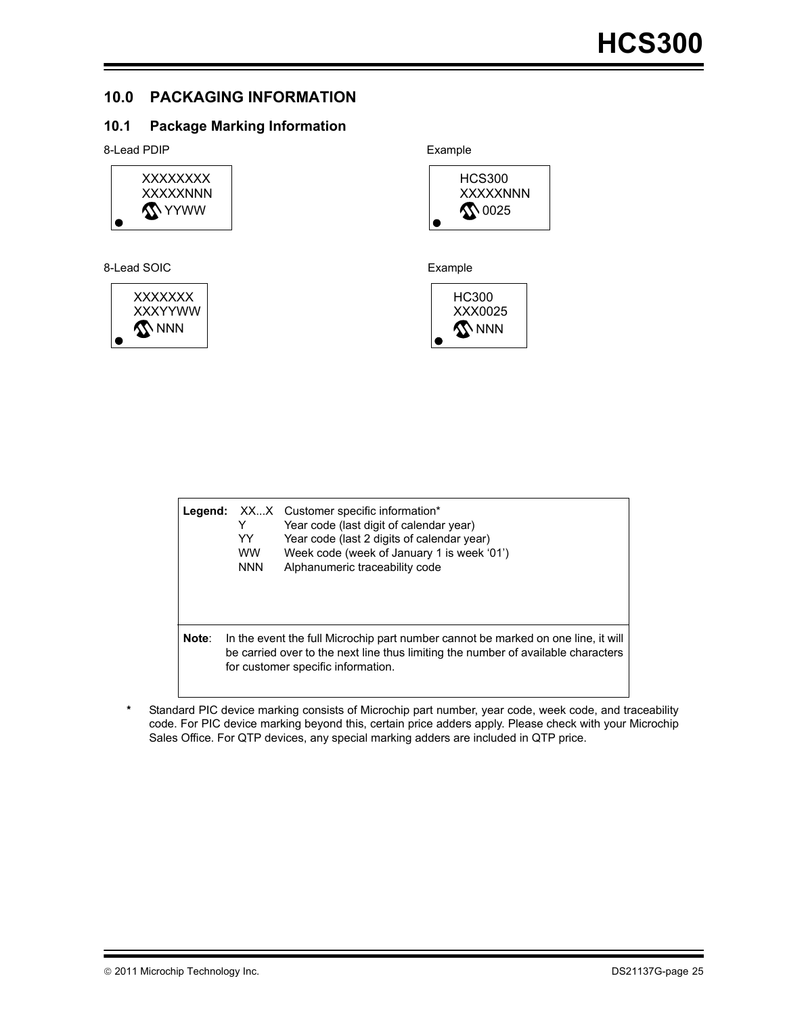#### **10.0 PACKAGING INFORMATION**

#### **10.1 Package Marking Information**

8-Lead PDIP **Example** 



#### 8-Lead SOIC **Example**







| Legend: | XXX Customer specific information*<br>Year code (last digit of calendar year)<br>Y<br>Year code (last 2 digits of calendar year)<br>YY<br>Week code (week of January 1 is week '01')<br><b>WW</b><br><b>NNN</b><br>Alphanumeric traceability code |                                                                                                                                                                                                              |
|---------|---------------------------------------------------------------------------------------------------------------------------------------------------------------------------------------------------------------------------------------------------|--------------------------------------------------------------------------------------------------------------------------------------------------------------------------------------------------------------|
| Note:   |                                                                                                                                                                                                                                                   | In the event the full Microchip part number cannot be marked on one line, it will<br>be carried over to the next line thus limiting the number of available characters<br>for customer specific information. |

Standard PIC device marking consists of Microchip part number, year code, week code, and traceability code. For PIC device marking beyond this, certain price adders apply. Please check with your Microchip Sales Office. For QTP devices, any special marking adders are included in QTP price.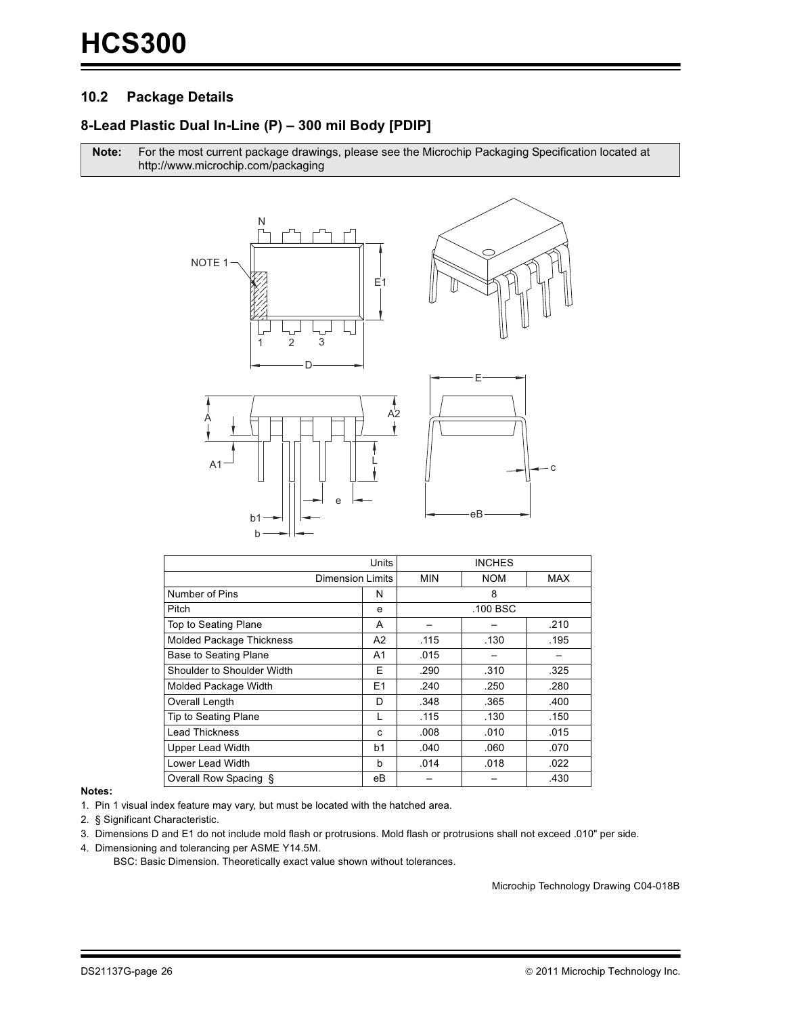#### $10.2$ **Package Details**

#### 8-Lead Plastic Dual In-Line (P) - 300 mil Body [PDIP]

Note: For the most current package drawings, please see the Microchip Packaging Specification located at http://www.microchip.com/packaging



|                                 | Units          |            | <b>INCHES</b> |            |
|---------------------------------|----------------|------------|---------------|------------|
| <b>Dimension Limits</b>         |                | <b>MIN</b> | <b>NOM</b>    | <b>MAX</b> |
| Number of Pins                  | N              |            | 8             |            |
| Pitch                           | е              |            | .100 BSC      |            |
| Top to Seating Plane            | A              |            |               | .210       |
| <b>Molded Package Thickness</b> | A2             | .115       | .130          | .195       |
| <b>Base to Seating Plane</b>    | A <sub>1</sub> | .015       |               |            |
| Shoulder to Shoulder Width      | Е              | .290       | .310          | .325       |
| Molded Package Width            | E <sub>1</sub> | .240       | .250          | .280       |
| Overall Length                  | D              | .348       | .365          | .400       |
| Tip to Seating Plane            | L              | .115       | .130          | .150       |
| <b>Lead Thickness</b>           | c              | .008       | .010          | .015       |
| <b>Upper Lead Width</b>         | b <sub>1</sub> | .040       | .060          | .070       |
| Lower Lead Width                | b              | .014       | .018          | .022       |
| Overall Row Spacing §           | eВ             |            |               | .430       |

#### Notes:

1. Pin 1 visual index feature may vary, but must be located with the hatched area.

2. § Significant Characteristic.

3. Dimensions D and E1 do not include mold flash or protrusions. Mold flash or protrusions shall not exceed .010" per side.

4. Dimensioning and tolerancing per ASME Y14.5M.

BSC: Basic Dimension. Theoretically exact value shown without tolerances.

Microchip Technology Drawing C04-018B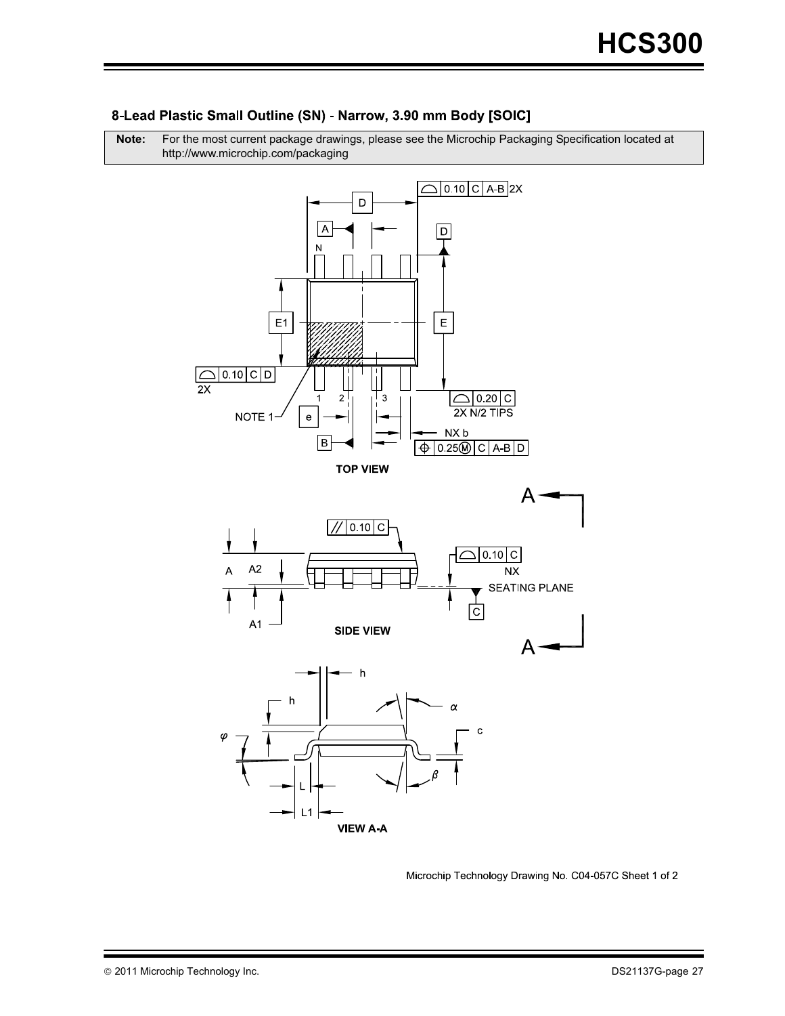

#### 8-Lead Plastic Small Outline (SN) - Narrow, 3.90 mm Body [SOIC]

http://www.microchip.com/packaging

**Note:** For the most current package drawings, please see the Microchip Packaging Specification located at

Microchip Technology Drawing No. C04-057C Sheet 1 of 2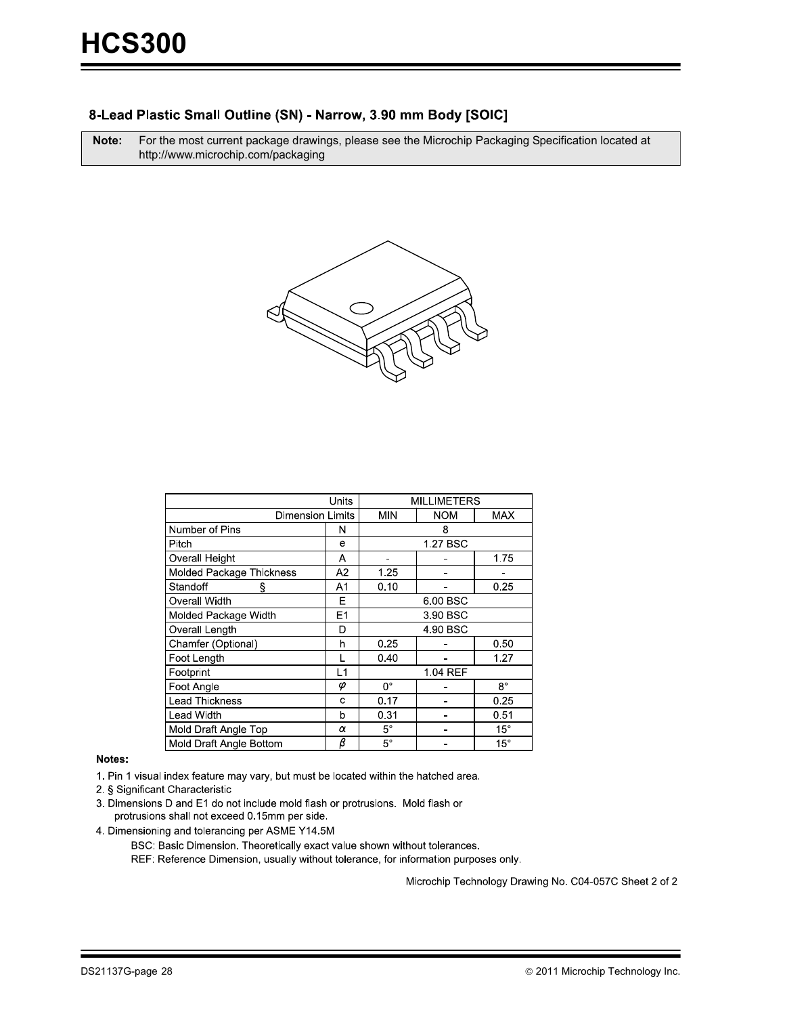#### 8-Lead Plastic Small Outline (SN) - Narrow, 3.90 mm Body [SOIC]

**Note:** For the most current package drawings, please see the Microchip Packaging Specification located at http://www.microchip.com/packaging



| Units                    |    | <b>MILLIMETERS</b> |            |             |
|--------------------------|----|--------------------|------------|-------------|
| <b>Dimension Limits</b>  |    | <b>MIN</b>         | <b>NOM</b> | <b>MAX</b>  |
| Number of Pins           | N  | 8                  |            |             |
| Pitch                    | e  | 1.27 BSC           |            |             |
| Overall Height           | Α  |                    |            | 1.75        |
| Molded Package Thickness | A2 | 1.25               |            |             |
| Standoff<br>ş            | A1 | 0.10               |            | 0.25        |
| Overall Width            | Е  |                    | 6.00 BSC   |             |
| Molded Package Width     | E1 | 3 90 BSC           |            |             |
| Overall Length           | D  | 4 90 BSC           |            |             |
| Chamfer (Optional)       | h  | 0.25               |            | 0.50        |
| Foot Length              |    | 0.40               |            | 1.27        |
| Footprint                | L1 | 1.04 REF           |            |             |
| Foot Angle               | φ  | $0^{\circ}$        |            | $8^{\circ}$ |
| <b>Lead Thickness</b>    | C  | 0.17               |            | 0.25        |
| <b>Lead Width</b>        | b  | 0.31               |            | 0.51        |
| Mold Draft Angle Top     | α  | $5^{\circ}$        |            | $15^\circ$  |
| Mold Draft Angle Bottom  | β  | $5^{\circ}$        |            | $15^\circ$  |

#### Notes:

1. Pin 1 visual index feature may vary, but must be located within the hatched area.

2. § Significant Characteristic

3. Dimensions D and E1 do not include mold flash or protrusions. Mold flash or protrusions shall not exceed 0.15mm per side.

4. Dimensioning and tolerancing per ASME Y14.5M

BSC: Basic Dimension. Theoretically exact value shown without tolerances.

REF: Reference Dimension, usually without tolerance, for information purposes only.

Microchip Technology Drawing No. C04-057C Sheet 2 of 2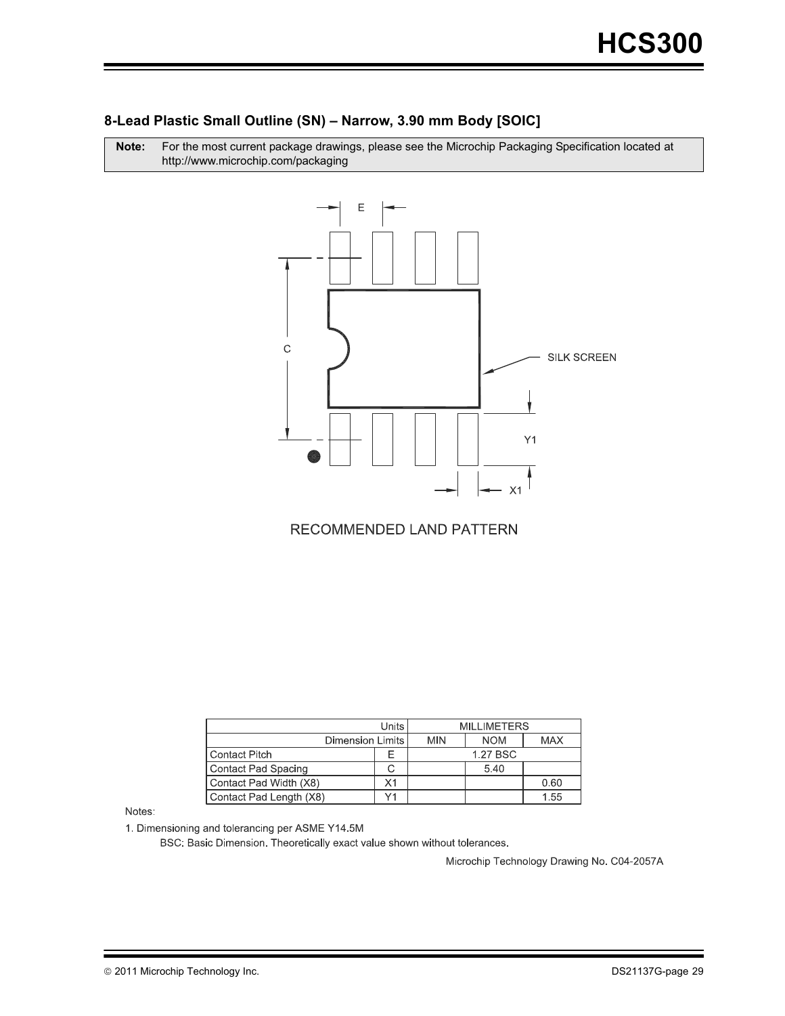#### **8-Lead Plastic Small Outline (SN) – Narrow, 3.90 mm Body [SOIC]**

Note: r the most current package drawings, please see the Microchip Packaging Specification located at http://www.microchip.com/packaging



RECOMMENDED LAND PATTERN

| Units                   |    | <b>MILLIMETERS</b> |            |            |
|-------------------------|----|--------------------|------------|------------|
| Dimension Limits I      |    | <b>MIN</b>         | <b>NOM</b> | <b>MAX</b> |
| Contact Pitch           |    |                    | 1.27 BSC   |            |
| Contact Pad Spacing     |    |                    | 5.40       |            |
| Contact Pad Width (X8)  | Χ1 |                    |            | 0.60       |
| Contact Pad Length (X8) |    |                    |            | 1.55       |

Notes:

1. Dimensioning and tolerancing per ASME Y14.5M

BSC: Basic Dimension. Theoretically exact value shown without tolerances.

Microchip Technology Drawing No. C04-2057A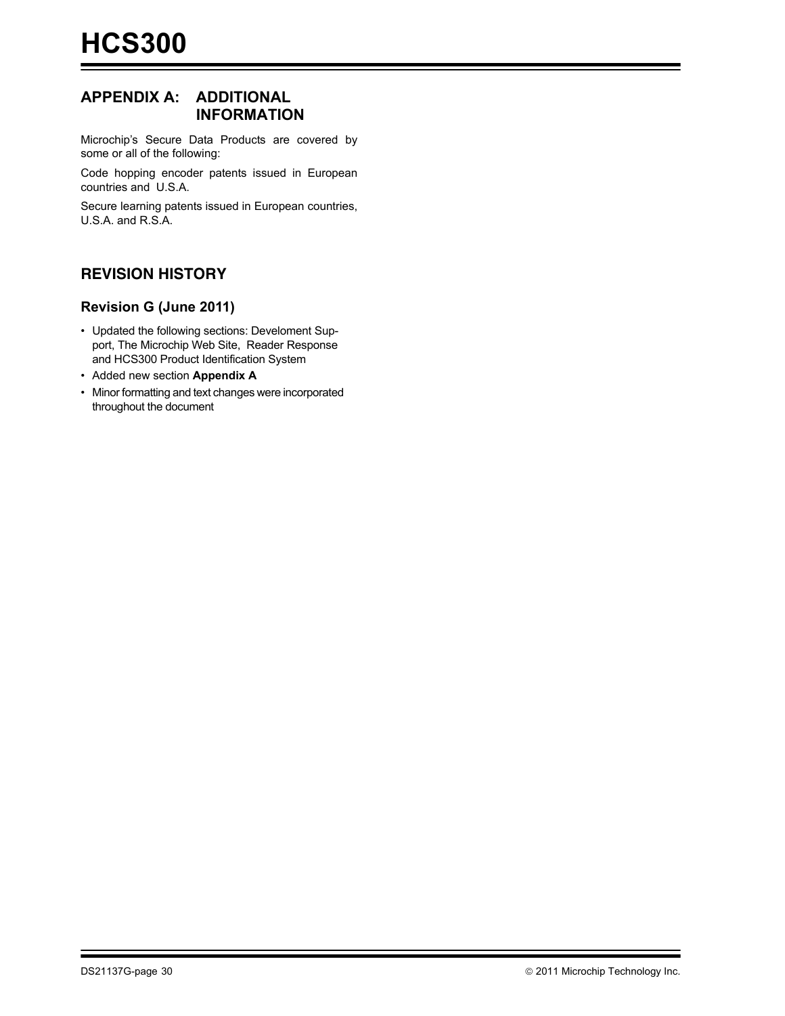#### **APPENDIX A: ADDITIONAL INFORMATION**

Microchip's Secure Data Products are covered by some or all of the following:

Code hopping encoder patents issued in European countries and U.S.A.

Secure learning patents issued in European countries, U.S.A. and R.S.A.

#### **REVISION HISTORY**

#### **Revision G (June 2011)**

- Updated the following sections: Develoment Support, The Microchip Web Site, Reader Response and HCS300 Product Identification System
- Added new section **Appendix A**
- Minor formatting and text changes were incorporated throughout the document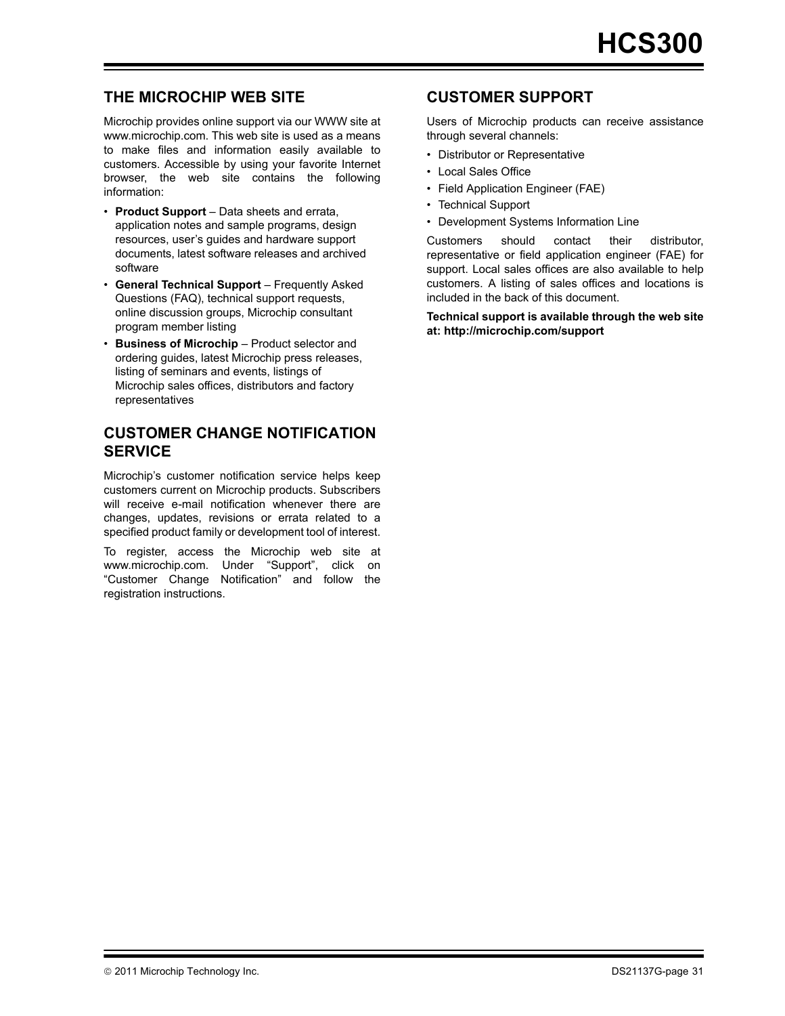#### **THE MICROCHIP WEB SITE**

[Microchip provides online support via our WWW site at](http://www.microchip.com) www.microchip.com. This web site is used as a means to make files and information easily available to customers. Accessible by using your favorite Internet browser, the web site contains the following information:

- **Product Support** [Data sheet](https://www.application-datasheet.com/)s and errata, application notes and sample programs, design resources, user's guides and hardware support documents, latest software releases and archived software
- **General Technical Support** Frequently Asked Questions (FAQ), technical support requests, online discussion groups, Microchip consultant program member listing
- **Business of Microchip** Product selector and ordering guides, latest Microchip press releases, listing of seminars and events, listings of Microchip sales offices, distributors and factory representatives

#### **CUSTOMER CHANGE NOTIFICATION SERVICE**

Microchip's customer notification service helps keep customers current on Microchip products. Subscribers will receive e-mail notification whenever there are changes, updates, revisions or errata related to a specified product family or development tool of interest.

[To register, access the Microchip web site at](http://www.microchip.com) www.microchip.com. Under "Support", click on "Customer Change Notification" and follow the registration instructions.

#### **CUSTOMER SUPPORT**

Users of Microchip products can receive assistance through several channels:

- Distributor or Representative
- Local Sales Office
- Field Application Engineer (FAE)
- Technical Support
- Development Systems Information Line

Customers should contact their distributor, representative or field application engineer (FAE) for support. Local sales offices are also available to help customers. A listing of sales offices and locations is included in the back of this document.

**[Technical support is available through the web site](http://www.microchip.com) [at:](http://www.microchip.com) http://microchip.com/support**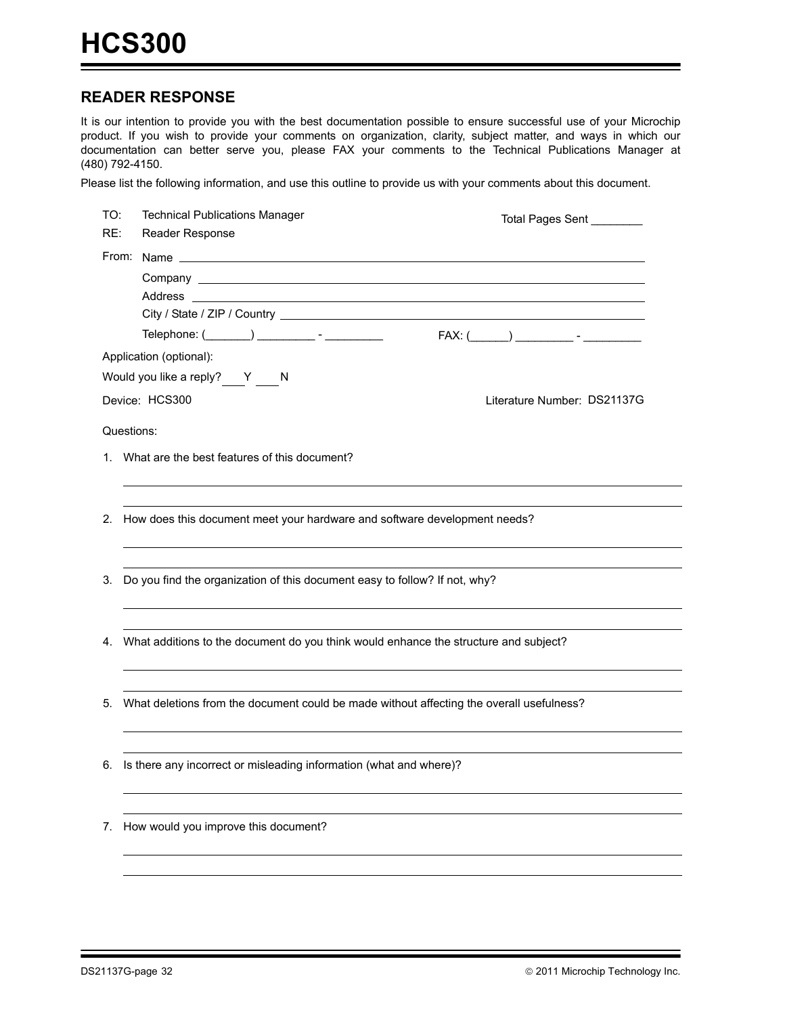#### **READER RESPONSE**

It is our intention to provide you with the best documentation possible to ensure successful use of your Microchip product. If you wish to provide your comments on organization, clarity, subject matter, and ways in which our documentation can better serve you, please FAX your comments to the Technical Publications Manager at (480) 792-4150.

Please list the following information, and use this outline to provide us with your comments about this document.

| TO:<br>RE: | <b>Technical Publications Manager</b><br>Reader Response                                                                                                                                                                       | Total Pages Sent ________   |
|------------|--------------------------------------------------------------------------------------------------------------------------------------------------------------------------------------------------------------------------------|-----------------------------|
|            |                                                                                                                                                                                                                                |                             |
|            |                                                                                                                                                                                                                                |                             |
|            | Address and the contract of the contract of the contract of the contract of the contract of the contract of the contract of the contract of the contract of the contract of the contract of the contract of the contract of th |                             |
|            |                                                                                                                                                                                                                                |                             |
|            |                                                                                                                                                                                                                                |                             |
|            | Application (optional):                                                                                                                                                                                                        |                             |
|            | Would you like a reply? Y N                                                                                                                                                                                                    |                             |
|            | Device: HCS300                                                                                                                                                                                                                 | Literature Number: DS21137G |
|            | Questions:                                                                                                                                                                                                                     |                             |
|            | 1. What are the best features of this document?                                                                                                                                                                                |                             |
| 2.         | How does this document meet your hardware and software development needs?                                                                                                                                                      |                             |
|            |                                                                                                                                                                                                                                |                             |
|            |                                                                                                                                                                                                                                |                             |
| 3.         | Do you find the organization of this document easy to follow? If not, why?                                                                                                                                                     |                             |
|            |                                                                                                                                                                                                                                |                             |
| 4.         | What additions to the document do you think would enhance the structure and subject?                                                                                                                                           |                             |
|            |                                                                                                                                                                                                                                |                             |
| 5.         | What deletions from the document could be made without affecting the overall usefulness?                                                                                                                                       |                             |
|            |                                                                                                                                                                                                                                |                             |
|            | 6. Is there any incorrect or misleading information (what and where)?                                                                                                                                                          |                             |
|            |                                                                                                                                                                                                                                |                             |
| 7.         | How would you improve this document?                                                                                                                                                                                           |                             |
|            |                                                                                                                                                                                                                                |                             |
|            |                                                                                                                                                                                                                                |                             |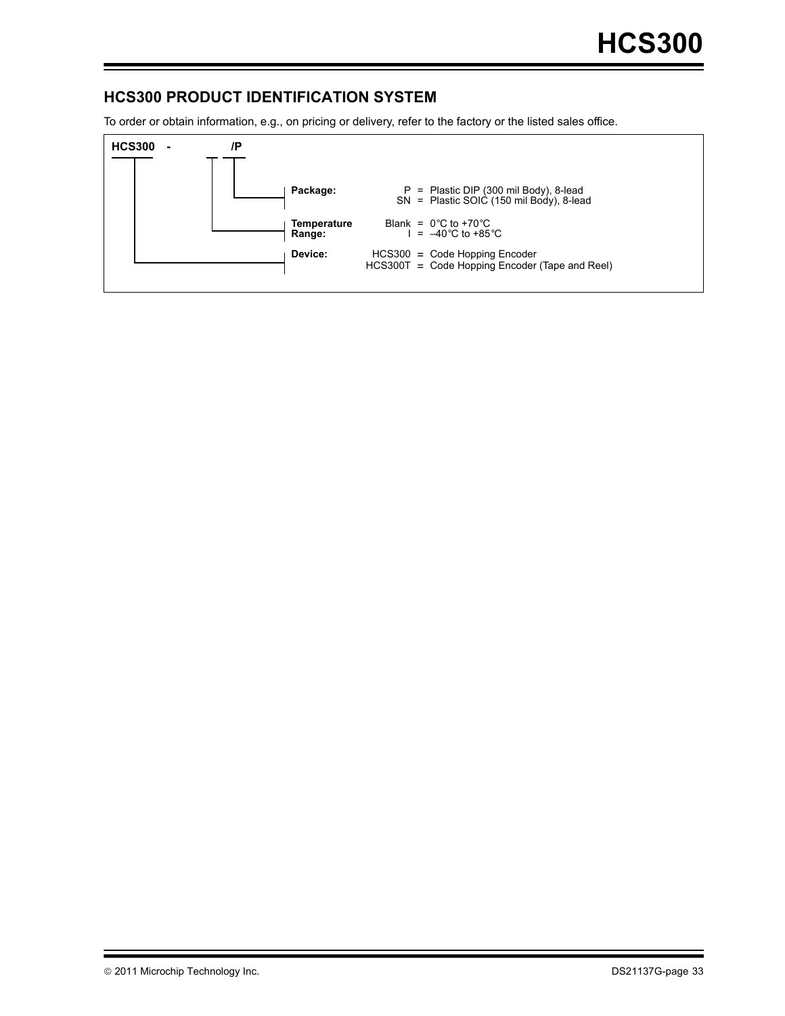#### **HCS300 PRODUCT IDENTIFICATION SYSTEM**

To order or obtain information, e.g., on pricing or delivery, refer to the factory or the listed sales office.

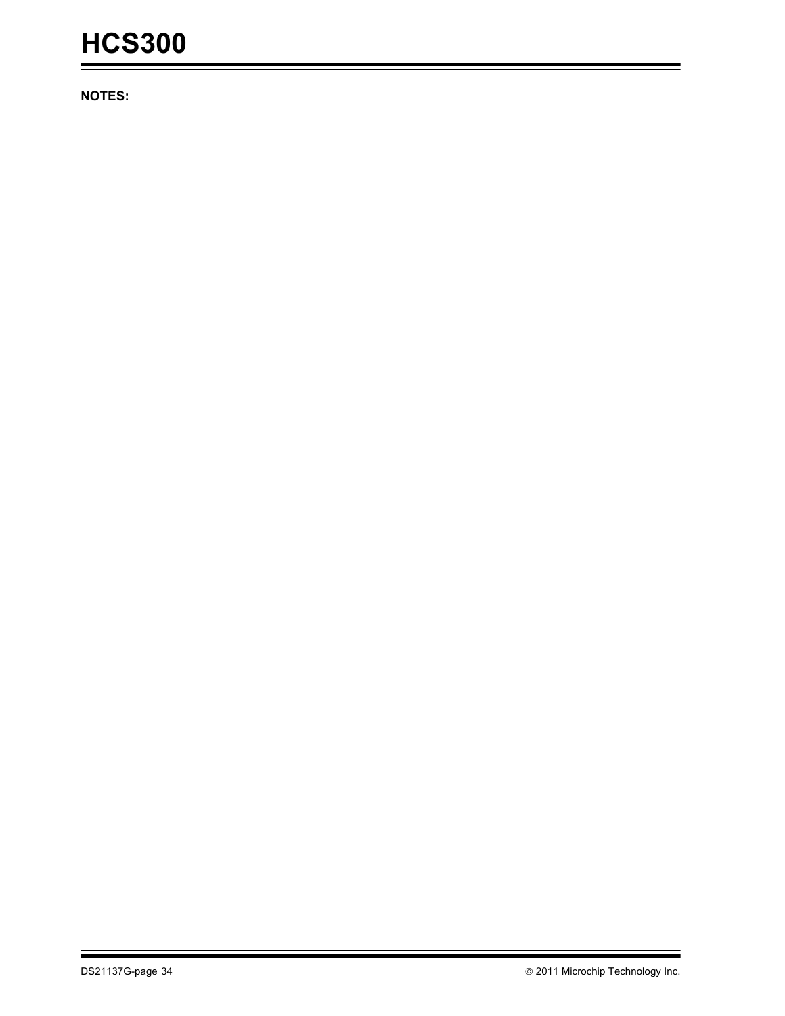**NOTES:**

۳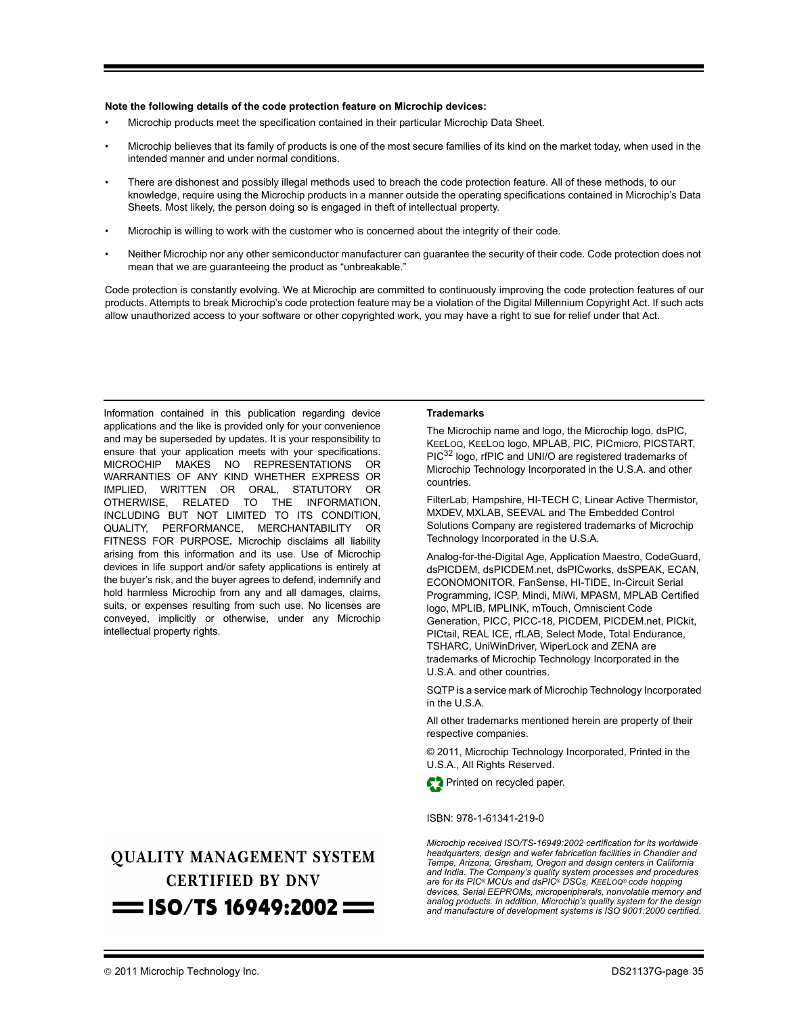#### **Note the following details of the code protection feature on Microchip devices:**

- Microchip products meet the specification contained in their particular Microchip [Data Sheet.](https://www.application-datasheet.com/)
- Microchip believes that its family of products is one of the most secure families of its kind on the market today, when used in the intended manner and under normal conditions.
- There are dishonest and possibly illegal methods used to breach the code protection feature. All of these methods, to our knowledge, require using the Microchip products in a manner outside the operating specifications contained in Microchip's Data Sheets. Most likely, the person doing so is engaged in theft of intellectual property.
- Microchip is willing to work with the customer who is concerned about the integrity of their code.
- Neither Microchip nor any other semiconductor manufacturer can guarantee the security of their code. Code protection does not mean that we are guaranteeing the product as "unbreakable."

Code protection is constantly evolving. We at Microchip are committed to continuously improving the code protection features of our products. Attempts to break Microchip's code protection feature may be a violation of the Digital Millennium Copyright Act. If such acts allow unauthorized access to your software or other copyrighted work, you may have a right to sue for relief under that Act.

Information contained in this publication regarding device applications and the like is provided only for your convenience and may be superseded by updates. It is your responsibility to ensure that your application meets with your specifications. MICROCHIP MAKES NO REPRESENTATIONS OR WARRANTIES OF ANY KIND WHETHER EXPRESS OR IMPLIED, WRITTEN OR ORAL, STATUTORY OR OTHERWISE, RELATED TO THE INFORMATION, INCLUDING BUT NOT LIMITED TO ITS CONDITION, QUALITY, PERFORMANCE, MERCHANTABILITY OR FITNESS FOR PURPOSE**.** Microchip disclaims all liability arising from this information and its use. Use of Microchip devices in life support and/or safety applications is entirely at the buyer's risk, and the buyer agrees to defend, indemnify and hold harmless Microchip from any and all damages, claims, suits, or expenses resulting from such use. No licenses are conveyed, implicitly or otherwise, under any Microchip intellectual property rights.

## **QUALITY MANAGEMENT SYSTEM CERTIFIED BY DNV**  $=$  ISO/TS 16949:2002  $=$

#### **Trademarks**

The Microchip name and logo, the Microchip logo, dsPIC, KEELOQ, KEELOQ logo, MPLAB, PIC, PICmicro, PICSTART, PIC<sup>32</sup> logo, rfPIC and UNI/O are registered trademarks of Microchip Technology Incorporated in the U.S.A. and other countries.

FilterLab, Hampshire, HI-TECH C, Linear Active Thermistor, MXDEV, MXLAB, SEEVAL and The Embedded Control Solutions Company are registered trademarks of Microchip Technology Incorporated in the U.S.A.

Analog-for-the-Digital Age, Application Maestro, CodeGuard, dsPICDEM, dsPICDEM.net, dsPICworks, dsSPEAK, ECAN, ECONOMONITOR, FanSense, HI-TIDE, In-Circuit Serial Programming, ICSP, Mindi, MiWi, MPASM, MPLAB Certified logo, MPLIB, MPLINK, mTouch, Omniscient Code Generation, PICC, PICC-18, PICDEM, PICDEM.net, PICkit, PICtail, REAL ICE, rfLAB, Select Mode, Total Endurance, TSHARC, UniWinDriver, WiperLock and ZENA are trademarks of Microchip Technology Incorporated in the U.S.A. and other countries.

SQTP is a service mark of Microchip Technology Incorporated in the U.S.A.

All other trademarks mentioned herein are property of their respective companies.

© 2011, Microchip Technology Incorporated, Printed in the U.S.A., All Rights Reserved.

Printed on recycled paper.

ISBN: 978-1-61341-219-0

*Microchip received ISO/TS-16949:2002 certification for its worldwide headquarters, design and wafer fabrication facilities in Chandler and Tempe, Arizona; Gresham, Oregon and design centers in California and India. The Company's quality system processes and procedures are for its PIC® MCUs and dsPIC® DSCs, KEELOQ® code hopping devices, Serial EEPROMs, microperipherals, nonvolatile memory and analog products. In addition, Microchip's quality system for the design and manufacture of development systems is ISO 9001:2000 certified.*